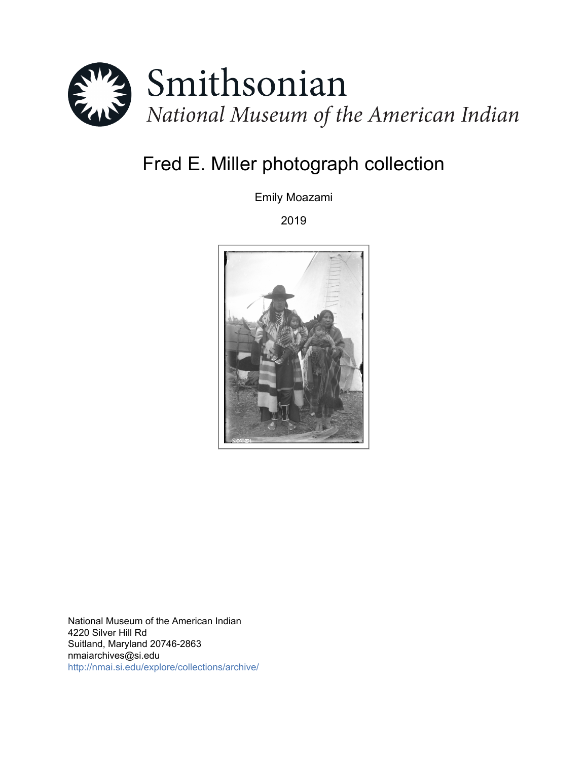

# Fred E. Miller photograph collection

Emily Moazami

2019



National Museum of the American Indian 4220 Silver Hill Rd Suitland, Maryland 20746-2863 nmaiarchives@si.edu <http://nmai.si.edu/explore/collections/archive/>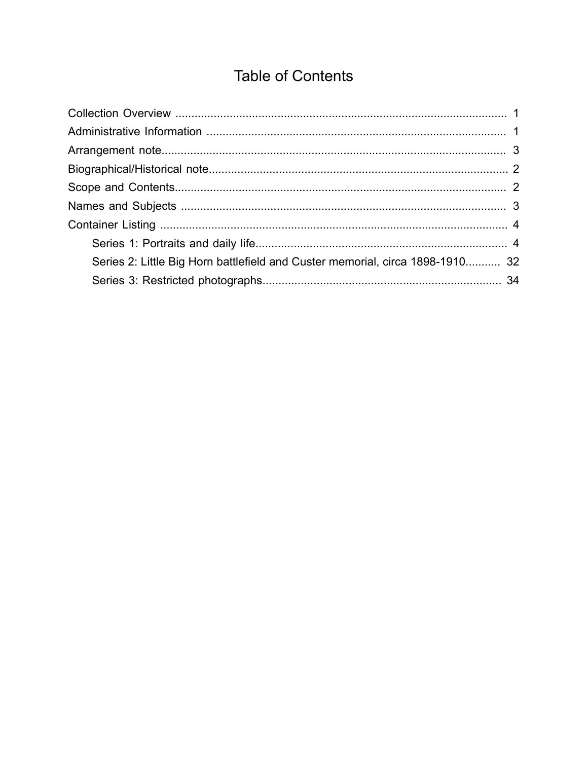# **Table of Contents**

<span id="page-1-0"></span>

| Series 2: Little Big Horn battlefield and Custer memorial, circa 1898-1910 32 |  |
|-------------------------------------------------------------------------------|--|
|                                                                               |  |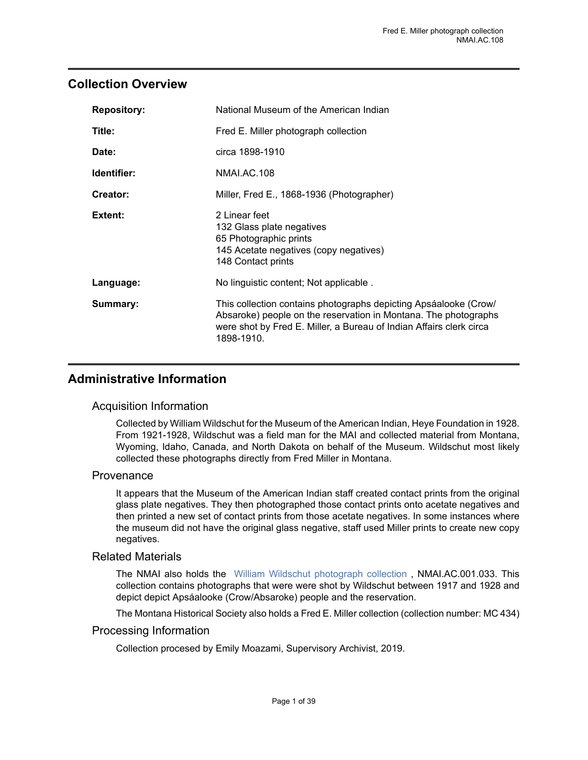## <span id="page-2-0"></span>**Collection Overview**

| <b>Repository:</b> | National Museum of the American Indian                                                                                                                                                                                   |  |
|--------------------|--------------------------------------------------------------------------------------------------------------------------------------------------------------------------------------------------------------------------|--|
| Title:             | Fred E. Miller photograph collection                                                                                                                                                                                     |  |
| Date:              | circa 1898-1910                                                                                                                                                                                                          |  |
| Identifier:        | NMALAC.108                                                                                                                                                                                                               |  |
| Creator:           | Miller, Fred E., 1868-1936 (Photographer)                                                                                                                                                                                |  |
| Extent:            | 2 Linear feet<br>132 Glass plate negatives<br>65 Photographic prints<br>145 Acetate negatives (copy negatives)<br>148 Contact prints                                                                                     |  |
| Language:          | No linguistic content; Not applicable.                                                                                                                                                                                   |  |
| Summary:           | This collection contains photographs depicting Apsáalooke (Crow/<br>Absaroke) people on the reservation in Montana. The photographs<br>were shot by Fred E. Miller, a Bureau of Indian Affairs clerk circa<br>1898-1910. |  |

## <span id="page-2-1"></span>**Administrative Information**

#### Acquisition Information

Collected by William Wildschut for the Museum of the American Indian, Heye Foundation in 1928. From 1921-1928, Wildschut was a field man for the MAI and collected material from Montana, Wyoming, Idaho, Canada, and North Dakota on behalf of the Museum. Wildschut most likely collected these photographs directly from Fred Miller in Montana.

#### **Provenance**

It appears that the Museum of the American Indian staff created contact prints from the original glass plate negatives. They then photographed those contact prints onto acetate negatives and then printed a new set of contact prints from those acetate negatives. In some instances where the museum did not have the original glass negative, staff used Miller prints to create new copy negatives.

#### Related Materials

The NMAI also holds the [William Wildschut photograph collection](https://sova.si.edu/record/NMAI.AC.001.033) , NMAI.AC.001.033. This collection contains photographs that were were shot by Wildschut between 1917 and 1928 and depict depict Apsáalooke (Crow/Absaroke) people and the reservation.

The Montana Historical Society also holds a Fred E. Miller collection (collection number: MC 434)

#### Processing Information

Collection procesed by Emily Moazami, Supervisory Archivist, 2019.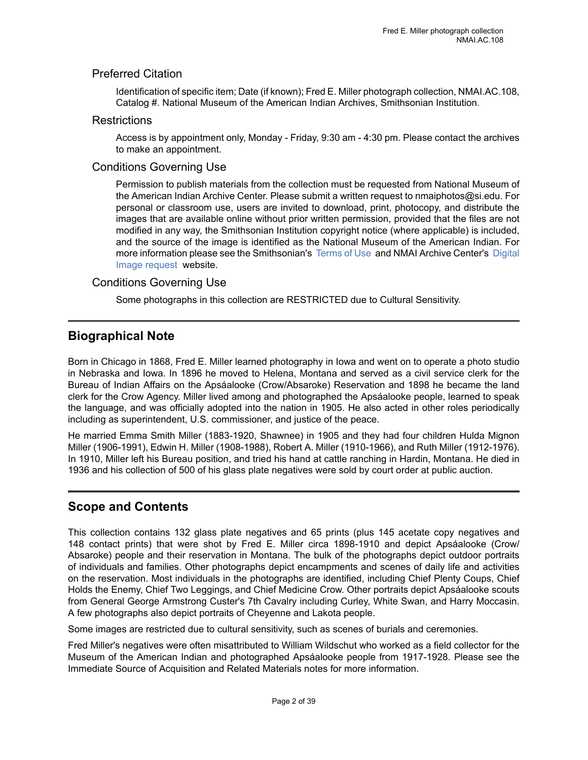### Preferred Citation

Identification of specific item; Date (if known); Fred E. Miller photograph collection, NMAI.AC.108, Catalog #. National Museum of the American Indian Archives, Smithsonian Institution.

#### **Restrictions**

Access is by appointment only, Monday - Friday, 9:30 am - 4:30 pm. Please contact the archives to make an appointment.

#### Conditions Governing Use

Permission to publish materials from the collection must be requested from National Museum of the American Indian Archive Center. Please submit a written request to nmaiphotos@si.edu. For personal or classroom use, users are invited to download, print, photocopy, and distribute the images that are available online without prior written permission, provided that the files are not modified in any way, the Smithsonian Institution copyright notice (where applicable) is included, and the source of the image is identified as the National Museum of the American Indian. For more information please see the Smithsonian's [Terms](https://www.si.edu/termsofuse) of Use and NMAI Archive Center's [Digital](http://nmai.si.edu/explore/collections/archive/digital-image-requests/) [Image request](http://nmai.si.edu/explore/collections/archive/digital-image-requests/) website.

#### Conditions Governing Use

Some photographs in this collection are RESTRICTED due to Cultural Sensitivity.

## <span id="page-3-0"></span>**Biographical Note**

Born in Chicago in 1868, Fred E. Miller learned photography in Iowa and went on to operate a photo studio in Nebraska and Iowa. In 1896 he moved to Helena, Montana and served as a civil service clerk for the Bureau of Indian Affairs on the Apsáalooke (Crow/Absaroke) Reservation and 1898 he became the land clerk for the Crow Agency. Miller lived among and photographed the Apsáalooke people, learned to speak the language, and was officially adopted into the nation in 1905. He also acted in other roles periodically including as superintendent, U.S. commissioner, and justice of the peace.

He married Emma Smith Miller (1883-1920, Shawnee) in 1905 and they had four children Hulda Mignon Miller (1906-1991), Edwin H. Miller (1908-1988), Robert A. Miller (1910-1966), and Ruth Miller (1912-1976). In 1910, Miller left his Bureau position, and tried his hand at cattle ranching in Hardin, Montana. He died in 1936 and his collection of 500 of his glass plate negatives were sold by court order at public auction.

## <span id="page-3-1"></span>**Scope and Contents**

This collection contains 132 glass plate negatives and 65 prints (plus 145 acetate copy negatives and 148 contact prints) that were shot by Fred E. Miller circa 1898-1910 and depict Apsáalooke (Crow/ Absaroke) people and their reservation in Montana. The bulk of the photographs depict outdoor portraits of individuals and families. Other photographs depict encampments and scenes of daily life and activities on the reservation. Most individuals in the photographs are identified, including Chief Plenty Coups, Chief Holds the Enemy, Chief Two Leggings, and Chief Medicine Crow. Other portraits depict Apsáalooke scouts from General George Armstrong Custer's 7th Cavalry including Curley, White Swan, and Harry Moccasin. A few photographs also depict portraits of Cheyenne and Lakota people.

Some images are restricted due to cultural sensitivity, such as scenes of burials and ceremonies.

Fred Miller's negatives were often misattributed to William Wildschut who worked as a field collector for the Museum of the American Indian and photographed Apsáalooke people from 1917-1928. Please see the Immediate Source of Acquisition and Related Materials notes for more information.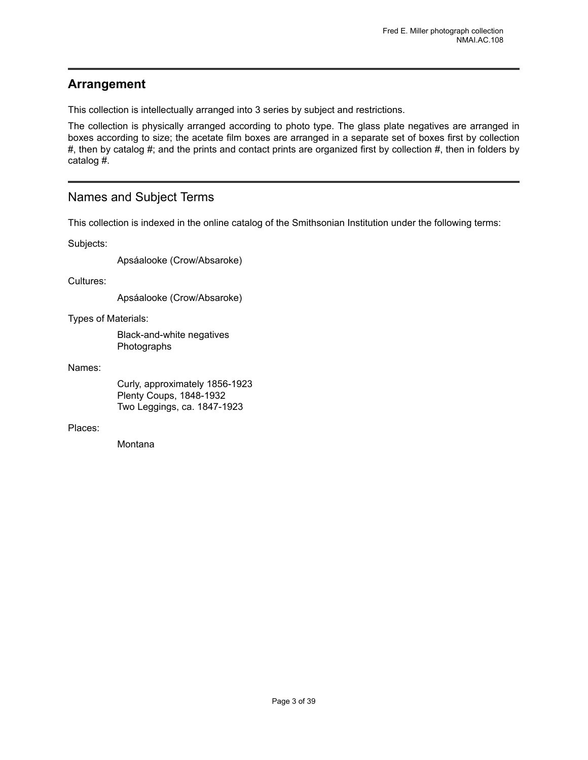## <span id="page-4-0"></span>**Arrangement**

This collection is intellectually arranged into 3 series by subject and restrictions.

The collection is physically arranged according to photo type. The glass plate negatives are arranged in boxes according to size; the acetate film boxes are arranged in a separate set of boxes first by collection #, then by catalog #; and the prints and contact prints are organized first by collection #, then in folders by catalog #.

## <span id="page-4-1"></span>Names and Subject Terms

This collection is indexed in the online catalog of the Smithsonian Institution under the following terms:

Subjects:

Apsáalooke (Crow/Absaroke)

Cultures:

Apsáalooke (Crow/Absaroke)

Types of Materials:

Black-and-white negatives Photographs

Names:

Curly, approximately 1856-1923 Plenty Coups, 1848-1932 Two Leggings, ca. 1847-1923

Places:

**Montana**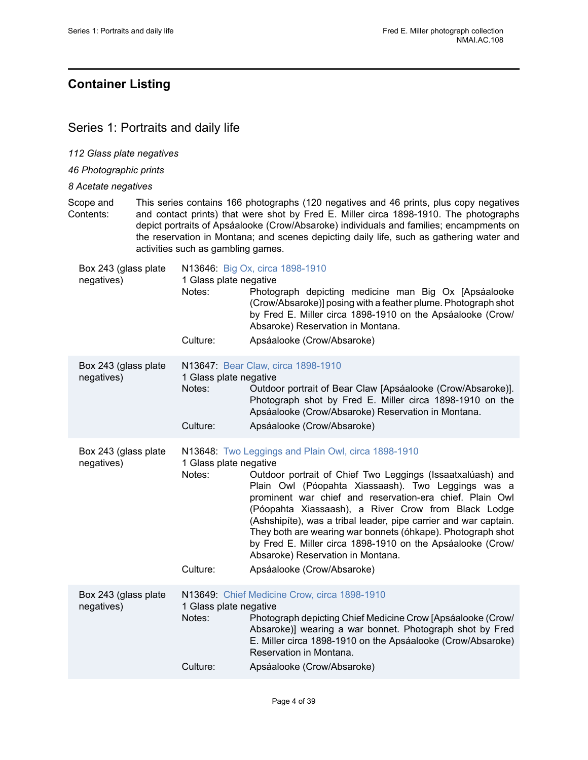## <span id="page-5-0"></span>**Container Listing**

## <span id="page-5-1"></span>Series 1: Portraits and daily life

*112 Glass plate negatives*

*46 Photographic prints*

*8 Acetate negatives*

Scope and Contents: This series contains 166 photographs (120 negatives and 46 prints, plus copy negatives and contact prints) that were shot by Fred E. Miller circa 1898-1910. The photographs depict portraits of Apsáalooke (Crow/Absaroke) individuals and families; encampments on the reservation in Montana; and scenes depicting daily life, such as gathering water and activities such as gambling games.

| Box 243 (glass plate               |                                              | N13646: Big Ox, circa 1898-1910                                                                                                                                                                                                                                                                                                                                                                                                                                                                                                                                |
|------------------------------------|----------------------------------------------|----------------------------------------------------------------------------------------------------------------------------------------------------------------------------------------------------------------------------------------------------------------------------------------------------------------------------------------------------------------------------------------------------------------------------------------------------------------------------------------------------------------------------------------------------------------|
| negatives)                         | 1 Glass plate negative<br>Notes:<br>Culture: | Photograph depicting medicine man Big Ox [Apsáalooke<br>(Crow/Absaroke)] posing with a feather plume. Photograph shot<br>by Fred E. Miller circa 1898-1910 on the Apsáalooke (Crow/<br>Absaroke) Reservation in Montana.<br>Apsáalooke (Crow/Absaroke)                                                                                                                                                                                                                                                                                                         |
| Box 243 (glass plate<br>negatives) | 1 Glass plate negative<br>Notes:<br>Culture: | N13647: Bear Claw, circa 1898-1910<br>Outdoor portrait of Bear Claw [Apsáalooke (Crow/Absaroke)].<br>Photograph shot by Fred E. Miller circa 1898-1910 on the<br>Apsáalooke (Crow/Absaroke) Reservation in Montana.<br>Apsáalooke (Crow/Absaroke)                                                                                                                                                                                                                                                                                                              |
| Box 243 (glass plate<br>negatives) | 1 Glass plate negative<br>Notes:<br>Culture: | N13648: Two Leggings and Plain Owl, circa 1898-1910<br>Outdoor portrait of Chief Two Leggings (Issaatxalúash) and<br>Plain Owl (Póopahta Xiassaash). Two Leggings was a<br>prominent war chief and reservation-era chief. Plain Owl<br>(Póopahta Xiassaash), a River Crow from Black Lodge<br>(Ashshipíte), was a tribal leader, pipe carrier and war captain.<br>They both are wearing war bonnets (óhkape). Photograph shot<br>by Fred E. Miller circa 1898-1910 on the Apsáalooke (Crow/<br>Absaroke) Reservation in Montana.<br>Apsáalooke (Crow/Absaroke) |
| Box 243 (glass plate<br>negatives) | 1 Glass plate negative<br>Notes:<br>Culture: | N13649: Chief Medicine Crow, circa 1898-1910<br>Photograph depicting Chief Medicine Crow [Apsáalooke (Crow/<br>Absaroke)] wearing a war bonnet. Photograph shot by Fred<br>E. Miller circa 1898-1910 on the Apsáalooke (Crow/Absaroke)<br>Reservation in Montana.<br>Apsáalooke (Crow/Absaroke)                                                                                                                                                                                                                                                                |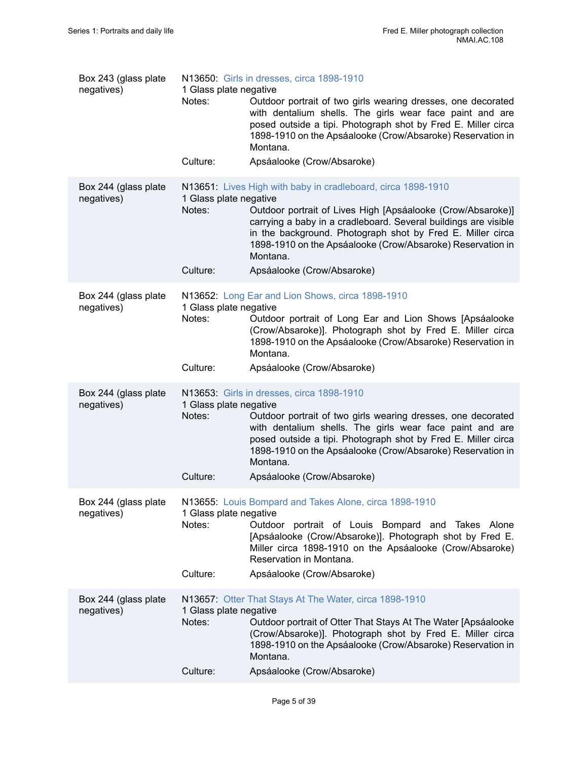| Box 243 (glass plate<br>negatives) | 1 Glass plate negative<br>Notes:             | N13650: Girls in dresses, circa 1898-1910<br>Outdoor portrait of two girls wearing dresses, one decorated<br>with dentalium shells. The girls wear face paint and are<br>posed outside a tipi. Photograph shot by Fred E. Miller circa<br>1898-1910 on the Apsáalooke (Crow/Absaroke) Reservation in<br>Montana.                       |
|------------------------------------|----------------------------------------------|----------------------------------------------------------------------------------------------------------------------------------------------------------------------------------------------------------------------------------------------------------------------------------------------------------------------------------------|
|                                    | Culture:                                     | Apsáalooke (Crow/Absaroke)                                                                                                                                                                                                                                                                                                             |
| Box 244 (glass plate<br>negatives) | 1 Glass plate negative<br>Notes:             | N13651: Lives High with baby in cradleboard, circa 1898-1910<br>Outdoor portrait of Lives High [Apsáalooke (Crow/Absaroke)]<br>carrying a baby in a cradleboard. Several buildings are visible<br>in the background. Photograph shot by Fred E. Miller circa<br>1898-1910 on the Apsáalooke (Crow/Absaroke) Reservation in<br>Montana. |
|                                    | Culture:                                     | Apsáalooke (Crow/Absaroke)                                                                                                                                                                                                                                                                                                             |
| Box 244 (glass plate<br>negatives) | 1 Glass plate negative<br>Notes:<br>Culture: | N13652: Long Ear and Lion Shows, circa 1898-1910<br>Outdoor portrait of Long Ear and Lion Shows [Apsáalooke<br>(Crow/Absaroke)]. Photograph shot by Fred E. Miller circa<br>1898-1910 on the Apsáalooke (Crow/Absaroke) Reservation in<br>Montana.<br>Apsáalooke (Crow/Absaroke)                                                       |
|                                    |                                              |                                                                                                                                                                                                                                                                                                                                        |
| Box 244 (glass plate<br>negatives) | 1 Glass plate negative<br>Notes:             | N13653: Girls in dresses, circa 1898-1910<br>Outdoor portrait of two girls wearing dresses, one decorated<br>with dentalium shells. The girls wear face paint and are<br>posed outside a tipi. Photograph shot by Fred E. Miller circa<br>1898-1910 on the Apsáalooke (Crow/Absaroke) Reservation in<br>Montana.                       |
|                                    | Culture:                                     | Apsáalooke (Crow/Absaroke)                                                                                                                                                                                                                                                                                                             |
| Box 244 (glass plate<br>negatives) | 1 Glass plate negative<br>Notes:<br>Culture: | N13655: Louis Bompard and Takes Alone, circa 1898-1910<br>Outdoor portrait of Louis Bompard and Takes Alone<br>[Apsáalooke (Crow/Absaroke)]. Photograph shot by Fred E.<br>Miller circa 1898-1910 on the Apsáalooke (Crow/Absaroke)<br>Reservation in Montana.<br>Apsáalooke (Crow/Absaroke)                                           |
|                                    |                                              |                                                                                                                                                                                                                                                                                                                                        |
| Box 244 (glass plate<br>negatives) | 1 Glass plate negative<br>Notes:<br>Culture: | N13657: Otter That Stays At The Water, circa 1898-1910<br>Outdoor portrait of Otter That Stays At The Water [Apsáalooke<br>(Crow/Absaroke)]. Photograph shot by Fred E. Miller circa<br>1898-1910 on the Apsáalooke (Crow/Absaroke) Reservation in<br>Montana.<br>Apsáalooke (Crow/Absaroke)                                           |
|                                    |                                              |                                                                                                                                                                                                                                                                                                                                        |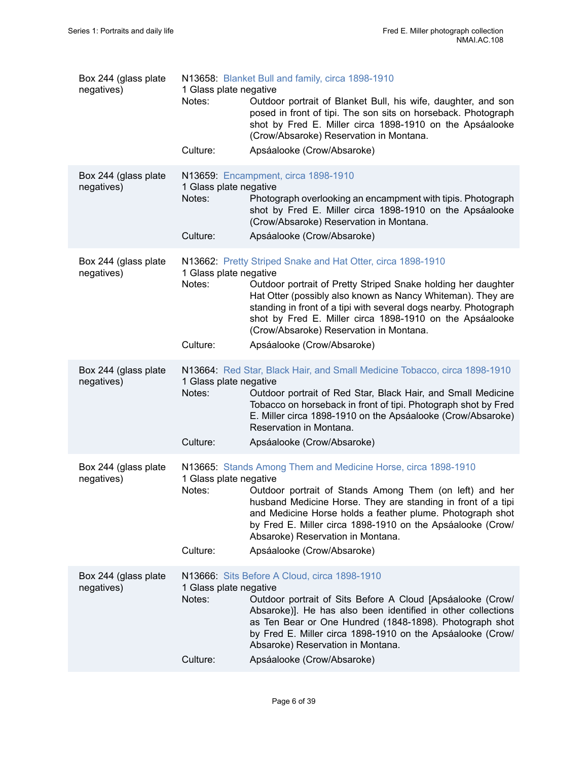| Box 244 (glass plate<br>negatives) | N13658: Blanket Bull and family, circa 1898-1910<br>1 Glass plate negative<br>Notes:<br>Outdoor portrait of Blanket Bull, his wife, daughter, and son<br>posed in front of tipi. The son sits on horseback. Photograph<br>shot by Fred E. Miller circa 1898-1910 on the Apsáalooke<br>(Crow/Absaroke) Reservation in Montana.                                                                                                          |
|------------------------------------|----------------------------------------------------------------------------------------------------------------------------------------------------------------------------------------------------------------------------------------------------------------------------------------------------------------------------------------------------------------------------------------------------------------------------------------|
|                                    | Culture:<br>Apsáalooke (Crow/Absaroke)                                                                                                                                                                                                                                                                                                                                                                                                 |
| Box 244 (glass plate<br>negatives) | N13659: Encampment, circa 1898-1910<br>1 Glass plate negative<br>Notes:<br>Photograph overlooking an encampment with tipis. Photograph<br>shot by Fred E. Miller circa 1898-1910 on the Apsáalooke<br>(Crow/Absaroke) Reservation in Montana.<br>Culture:<br>Apsáalooke (Crow/Absaroke)                                                                                                                                                |
| Box 244 (glass plate<br>negatives) | N13662: Pretty Striped Snake and Hat Otter, circa 1898-1910<br>1 Glass plate negative<br>Notes:<br>Outdoor portrait of Pretty Striped Snake holding her daughter<br>Hat Otter (possibly also known as Nancy Whiteman). They are<br>standing in front of a tipi with several dogs nearby. Photograph<br>shot by Fred E. Miller circa 1898-1910 on the Apsáalooke<br>(Crow/Absaroke) Reservation in Montana.                             |
|                                    | Culture:<br>Apsáalooke (Crow/Absaroke)                                                                                                                                                                                                                                                                                                                                                                                                 |
| Box 244 (glass plate<br>negatives) | N13664: Red Star, Black Hair, and Small Medicine Tobacco, circa 1898-1910<br>1 Glass plate negative<br>Notes:<br>Outdoor portrait of Red Star, Black Hair, and Small Medicine<br>Tobacco on horseback in front of tipi. Photograph shot by Fred<br>E. Miller circa 1898-1910 on the Apsáalooke (Crow/Absaroke)<br>Reservation in Montana.<br>Culture:<br>Apsáalooke (Crow/Absaroke)                                                    |
| Box 244 (glass plate<br>negatives) | N13665: Stands Among Them and Medicine Horse, circa 1898-1910<br>1 Glass plate negative<br>Notes:<br>Outdoor portrait of Stands Among Them (on left) and her<br>husband Medicine Horse. They are standing in front of a tipi<br>and Medicine Horse holds a feather plume. Photograph shot<br>by Fred E. Miller circa 1898-1910 on the Apsáalooke (Crow/<br>Absaroke) Reservation in Montana.<br>Culture:<br>Apsáalooke (Crow/Absaroke) |
| Box 244 (glass plate<br>negatives) | N13666: Sits Before A Cloud, circa 1898-1910<br>1 Glass plate negative<br>Outdoor portrait of Sits Before A Cloud [Apsáalooke (Crow/<br>Notes:<br>Absaroke)]. He has also been identified in other collections<br>as Ten Bear or One Hundred (1848-1898). Photograph shot<br>by Fred E. Miller circa 1898-1910 on the Apsáalooke (Crow/<br>Absaroke) Reservation in Montana.<br>Culture:<br>Apsáalooke (Crow/Absaroke)                 |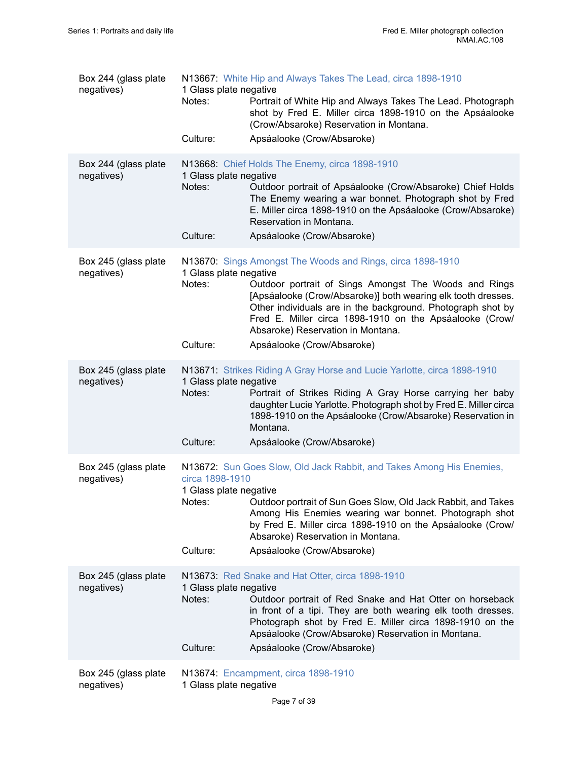| Box 244 (glass plate<br>negatives) | 1 Glass plate negative<br>Notes:<br>Culture:          | N13667: White Hip and Always Takes The Lead, circa 1898-1910<br>Portrait of White Hip and Always Takes The Lead. Photograph<br>shot by Fred E. Miller circa 1898-1910 on the Apsáalooke<br>(Crow/Absaroke) Reservation in Montana.<br>Apsáalooke (Crow/Absaroke)                                                                                                                 |
|------------------------------------|-------------------------------------------------------|----------------------------------------------------------------------------------------------------------------------------------------------------------------------------------------------------------------------------------------------------------------------------------------------------------------------------------------------------------------------------------|
| Box 244 (glass plate<br>negatives) | 1 Glass plate negative<br>Notes:<br>Culture:          | N13668: Chief Holds The Enemy, circa 1898-1910<br>Outdoor portrait of Apsáalooke (Crow/Absaroke) Chief Holds<br>The Enemy wearing a war bonnet. Photograph shot by Fred<br>E. Miller circa 1898-1910 on the Apsáalooke (Crow/Absaroke)<br>Reservation in Montana.<br>Apsáalooke (Crow/Absaroke)                                                                                  |
| Box 245 (glass plate<br>negatives) | 1 Glass plate negative<br>Notes:<br>Culture:          | N13670: Sings Amongst The Woods and Rings, circa 1898-1910<br>Outdoor portrait of Sings Amongst The Woods and Rings<br>[Apsáalooke (Crow/Absaroke)] both wearing elk tooth dresses.<br>Other individuals are in the background. Photograph shot by<br>Fred E. Miller circa 1898-1910 on the Apsáalooke (Crow/<br>Absaroke) Reservation in Montana.<br>Apsáalooke (Crow/Absaroke) |
| Box 245 (glass plate<br>negatives) | 1 Glass plate negative<br>Notes:<br>Culture:          | N13671: Strikes Riding A Gray Horse and Lucie Yarlotte, circa 1898-1910<br>Portrait of Strikes Riding A Gray Horse carrying her baby<br>daughter Lucie Yarlotte. Photograph shot by Fred E. Miller circa<br>1898-1910 on the Apsáalooke (Crow/Absaroke) Reservation in<br>Montana.<br>Apsáalooke (Crow/Absaroke)                                                                 |
| Box 245 (glass plate<br>negatives) | circa 1898-1910<br>1 Glass plate negative<br>Culture: | N13672: Sun Goes Slow, Old Jack Rabbit, and Takes Among His Enemies,<br>Notes: Outdoor portrait of Sun Goes Slow, Old Jack Rabbit, and Takes<br>Among His Enemies wearing war bonnet. Photograph shot<br>by Fred E. Miller circa 1898-1910 on the Apsáalooke (Crow/<br>Absaroke) Reservation in Montana.<br>Apsáalooke (Crow/Absaroke)                                           |
| Box 245 (glass plate<br>negatives) | 1 Glass plate negative<br>Notes:<br>Culture:          | N13673: Red Snake and Hat Otter, circa 1898-1910<br>Outdoor portrait of Red Snake and Hat Otter on horseback<br>in front of a tipi. They are both wearing elk tooth dresses.<br>Photograph shot by Fred E. Miller circa 1898-1910 on the<br>Apsáalooke (Crow/Absaroke) Reservation in Montana.<br>Apsáalooke (Crow/Absaroke)                                                     |
| Box 245 (glass plate<br>negatives) | 1 Glass plate negative                                | N13674: Encampment, circa 1898-1910                                                                                                                                                                                                                                                                                                                                              |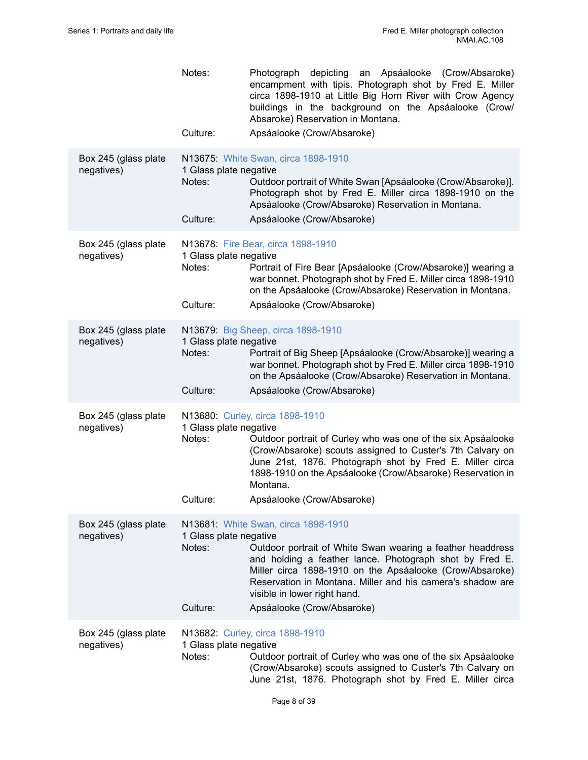|                                    | Notes:<br>Culture:                           | Photograph depicting an Apsáalooke (Crow/Absaroke)<br>encampment with tipis. Photograph shot by Fred E. Miller<br>circa 1898-1910 at Little Big Horn River with Crow Agency<br>buildings in the background on the Apsáalooke (Crow/<br>Absaroke) Reservation in Montana.<br>Apsáalooke (Crow/Absaroke)                            |
|------------------------------------|----------------------------------------------|-----------------------------------------------------------------------------------------------------------------------------------------------------------------------------------------------------------------------------------------------------------------------------------------------------------------------------------|
|                                    |                                              |                                                                                                                                                                                                                                                                                                                                   |
| Box 245 (glass plate<br>negatives) | 1 Glass plate negative<br>Notes:<br>Culture: | N13675: White Swan, circa 1898-1910<br>Outdoor portrait of White Swan [Apsáalooke (Crow/Absaroke)].<br>Photograph shot by Fred E. Miller circa 1898-1910 on the<br>Apsáalooke (Crow/Absaroke) Reservation in Montana.<br>Apsáalooke (Crow/Absaroke)                                                                               |
|                                    |                                              |                                                                                                                                                                                                                                                                                                                                   |
| Box 245 (glass plate<br>negatives) | 1 Glass plate negative<br>Notes:<br>Culture: | N13678: Fire Bear, circa 1898-1910<br>Portrait of Fire Bear [Apsáalooke (Crow/Absaroke)] wearing a<br>war bonnet. Photograph shot by Fred E. Miller circa 1898-1910<br>on the Apsáalooke (Crow/Absaroke) Reservation in Montana.<br>Apsáalooke (Crow/Absaroke)                                                                    |
|                                    |                                              |                                                                                                                                                                                                                                                                                                                                   |
| Box 245 (glass plate<br>negatives) | 1 Glass plate negative<br>Notes:             | N13679: Big Sheep, circa 1898-1910<br>Portrait of Big Sheep [Apsáalooke (Crow/Absaroke)] wearing a<br>war bonnet. Photograph shot by Fred E. Miller circa 1898-1910<br>on the Apsáalooke (Crow/Absaroke) Reservation in Montana.                                                                                                  |
|                                    | Culture:                                     | Apsáalooke (Crow/Absaroke)                                                                                                                                                                                                                                                                                                        |
| Box 245 (glass plate<br>negatives) | 1 Glass plate negative<br>Notes:<br>Culture: | N13680: Curley, circa 1898-1910<br>Outdoor portrait of Curley who was one of the six Apsáalooke<br>(Crow/Absaroke) scouts assigned to Custer's 7th Calvary on<br>June 21st, 1876. Photograph shot by Fred E. Miller circa<br>1898-1910 on the Apsáalooke (Crow/Absaroke) Reservation in<br>Montana.<br>Apsáalooke (Crow/Absaroke) |
|                                    |                                              | N13681: White Swan, circa 1898-1910                                                                                                                                                                                                                                                                                               |
| Box 245 (glass plate<br>negatives) | 1 Glass plate negative<br>Notes:<br>Culture: | Outdoor portrait of White Swan wearing a feather headdress<br>and holding a feather lance. Photograph shot by Fred E.<br>Miller circa 1898-1910 on the Apsáalooke (Crow/Absaroke)<br>Reservation in Montana. Miller and his camera's shadow are<br>visible in lower right hand.<br>Apsáalooke (Crow/Absaroke)                     |
|                                    |                                              |                                                                                                                                                                                                                                                                                                                                   |
| Box 245 (glass plate<br>negatives) | 1 Glass plate negative<br>Notes:             | N13682: Curley, circa 1898-1910<br>Outdoor portrait of Curley who was one of the six Apsáalooke<br>(Crow/Absaroke) scouts assigned to Custer's 7th Calvary on<br>June 21st, 1876. Photograph shot by Fred E. Miller circa                                                                                                         |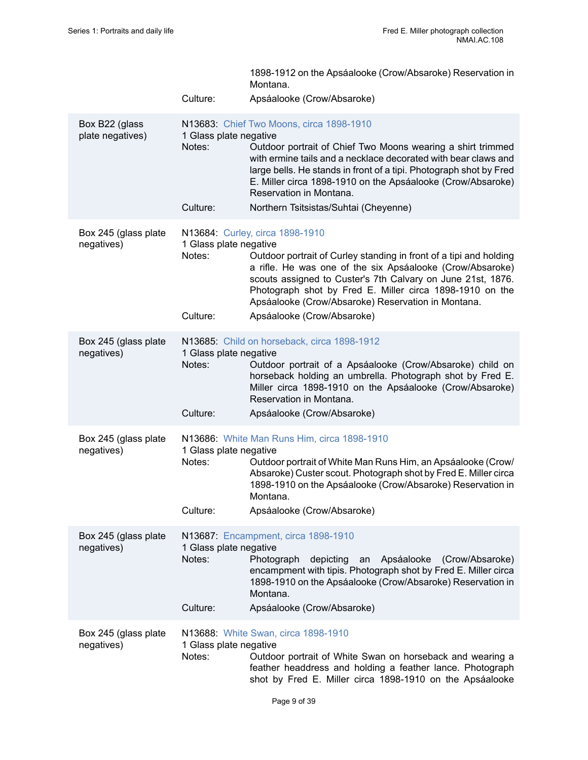|                                    |                                              | 1898-1912 on the Apsáalooke (Crow/Absaroke) Reservation in<br>Montana.                                                                                                                                                                                                                                                                                                             |
|------------------------------------|----------------------------------------------|------------------------------------------------------------------------------------------------------------------------------------------------------------------------------------------------------------------------------------------------------------------------------------------------------------------------------------------------------------------------------------|
|                                    | Culture:                                     | Apsáalooke (Crow/Absaroke)                                                                                                                                                                                                                                                                                                                                                         |
| Box B22 (glass<br>plate negatives) | 1 Glass plate negative<br>Notes:<br>Culture: | N13683: Chief Two Moons, circa 1898-1910<br>Outdoor portrait of Chief Two Moons wearing a shirt trimmed<br>with ermine tails and a necklace decorated with bear claws and<br>large bells. He stands in front of a tipi. Photograph shot by Fred<br>E. Miller circa 1898-1910 on the Apsáalooke (Crow/Absaroke)<br>Reservation in Montana.<br>Northern Tsitsistas/Suhtai (Cheyenne) |
|                                    |                                              |                                                                                                                                                                                                                                                                                                                                                                                    |
| Box 245 (glass plate<br>negatives) | 1 Glass plate negative<br>Notes:<br>Culture: | N13684: Curley, circa 1898-1910<br>Outdoor portrait of Curley standing in front of a tipi and holding<br>a rifle. He was one of the six Apsáalooke (Crow/Absaroke)<br>scouts assigned to Custer's 7th Calvary on June 21st, 1876.<br>Photograph shot by Fred E. Miller circa 1898-1910 on the<br>Apsáalooke (Crow/Absaroke) Reservation in Montana.<br>Apsáalooke (Crow/Absaroke)  |
|                                    |                                              |                                                                                                                                                                                                                                                                                                                                                                                    |
| Box 245 (glass plate<br>negatives) | 1 Glass plate negative<br>Notes:<br>Culture: | N13685: Child on horseback, circa 1898-1912<br>Outdoor portrait of a Apsáalooke (Crow/Absaroke) child on<br>horseback holding an umbrella. Photograph shot by Fred E.<br>Miller circa 1898-1910 on the Apsáalooke (Crow/Absaroke)<br>Reservation in Montana.<br>Apsáalooke (Crow/Absaroke)                                                                                         |
|                                    |                                              |                                                                                                                                                                                                                                                                                                                                                                                    |
| Box 245 (glass plate<br>negatives) | 1 Glass plate negative<br>Notes:<br>Culture: | N13686: White Man Runs Him, circa 1898-1910<br>Outdoor portrait of White Man Runs Him, an Apsáalooke (Crow/<br>Absaroke) Custer scout. Photograph shot by Fred E. Miller circa<br>1898-1910 on the Apsáalooke (Crow/Absaroke) Reservation in<br>Montana.<br>Apsáalooke (Crow/Absaroke)                                                                                             |
| Box 245 (glass plate               |                                              | N13687: Encampment, circa 1898-1910                                                                                                                                                                                                                                                                                                                                                |
| negatives)                         | 1 Glass plate negative<br>Notes:<br>Culture: | Photograph<br>depicting<br>Apsáalooke (Crow/Absaroke)<br>an<br>encampment with tipis. Photograph shot by Fred E. Miller circa<br>1898-1910 on the Apsáalooke (Crow/Absaroke) Reservation in<br>Montana.<br>Apsáalooke (Crow/Absaroke)                                                                                                                                              |
|                                    |                                              |                                                                                                                                                                                                                                                                                                                                                                                    |
| Box 245 (glass plate<br>negatives) | 1 Glass plate negative<br>Notes:             | N13688: White Swan, circa 1898-1910<br>Outdoor portrait of White Swan on horseback and wearing a<br>feather headdress and holding a feather lance. Photograph<br>shot by Fred E. Miller circa 1898-1910 on the Apsáalooke                                                                                                                                                          |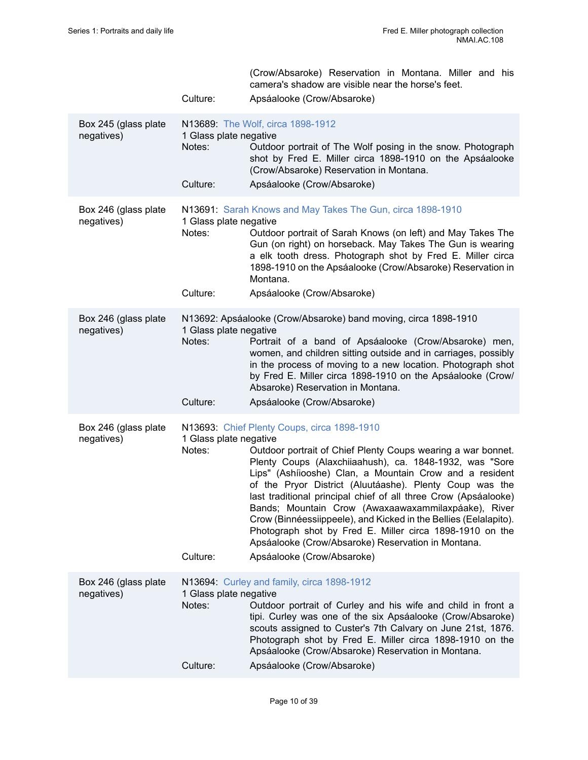|                                    | Culture:                                     | (Crow/Absaroke) Reservation in Montana. Miller and his<br>camera's shadow are visible near the horse's feet.<br>Apsáalooke (Crow/Absaroke)                                                                                                                                                                                                                                                                                                                                                                                                                                                                                                 |
|------------------------------------|----------------------------------------------|--------------------------------------------------------------------------------------------------------------------------------------------------------------------------------------------------------------------------------------------------------------------------------------------------------------------------------------------------------------------------------------------------------------------------------------------------------------------------------------------------------------------------------------------------------------------------------------------------------------------------------------------|
| Box 245 (glass plate<br>negatives) | 1 Glass plate negative<br>Notes:<br>Culture: | N13689: The Wolf, circa 1898-1912<br>Outdoor portrait of The Wolf posing in the snow. Photograph<br>shot by Fred E. Miller circa 1898-1910 on the Apsáalooke<br>(Crow/Absaroke) Reservation in Montana.<br>Apsáalooke (Crow/Absaroke)                                                                                                                                                                                                                                                                                                                                                                                                      |
| Box 246 (glass plate<br>negatives) | 1 Glass plate negative<br>Notes:<br>Culture: | N13691: Sarah Knows and May Takes The Gun, circa 1898-1910<br>Outdoor portrait of Sarah Knows (on left) and May Takes The<br>Gun (on right) on horseback. May Takes The Gun is wearing<br>a elk tooth dress. Photograph shot by Fred E. Miller circa<br>1898-1910 on the Apsáalooke (Crow/Absaroke) Reservation in<br>Montana.<br>Apsáalooke (Crow/Absaroke)                                                                                                                                                                                                                                                                               |
| Box 246 (glass plate<br>negatives) | 1 Glass plate negative<br>Notes:<br>Culture: | N13692: Apsáalooke (Crow/Absaroke) band moving, circa 1898-1910<br>Portrait of a band of Apsáalooke (Crow/Absaroke) men,<br>women, and children sitting outside and in carriages, possibly<br>in the process of moving to a new location. Photograph shot<br>by Fred E. Miller circa 1898-1910 on the Apsáalooke (Crow/<br>Absaroke) Reservation in Montana.<br>Apsáalooke (Crow/Absaroke)                                                                                                                                                                                                                                                 |
| Box 246 (glass plate<br>negatives) | 1 Glass plate negative<br>Notes:<br>Culture: | N13693: Chief Plenty Coups, circa 1898-1910<br>Outdoor portrait of Chief Plenty Coups wearing a war bonnet.<br>Plenty Coups (Alaxchiiaahush), ca. 1848-1932, was "Sore<br>Lips" (Ashíiooshe) Clan, a Mountain Crow and a resident<br>of the Pryor District (Aluutáashe). Plenty Coup was the<br>last traditional principal chief of all three Crow (Apsáalooke)<br>Bands; Mountain Crow (Awaxaawaxammilaxpáake), River<br>Crow (Binnéessiippeele), and Kicked in the Bellies (Eelalapito).<br>Photograph shot by Fred E. Miller circa 1898-1910 on the<br>Apsáalooke (Crow/Absaroke) Reservation in Montana.<br>Apsáalooke (Crow/Absaroke) |
| Box 246 (glass plate<br>negatives) | 1 Glass plate negative<br>Notes:<br>Culture: | N13694: Curley and family, circa 1898-1912<br>Outdoor portrait of Curley and his wife and child in front a<br>tipi. Curley was one of the six Apsáalooke (Crow/Absaroke)<br>scouts assigned to Custer's 7th Calvary on June 21st, 1876.<br>Photograph shot by Fred E. Miller circa 1898-1910 on the<br>Apsáalooke (Crow/Absaroke) Reservation in Montana.<br>Apsáalooke (Crow/Absaroke)                                                                                                                                                                                                                                                    |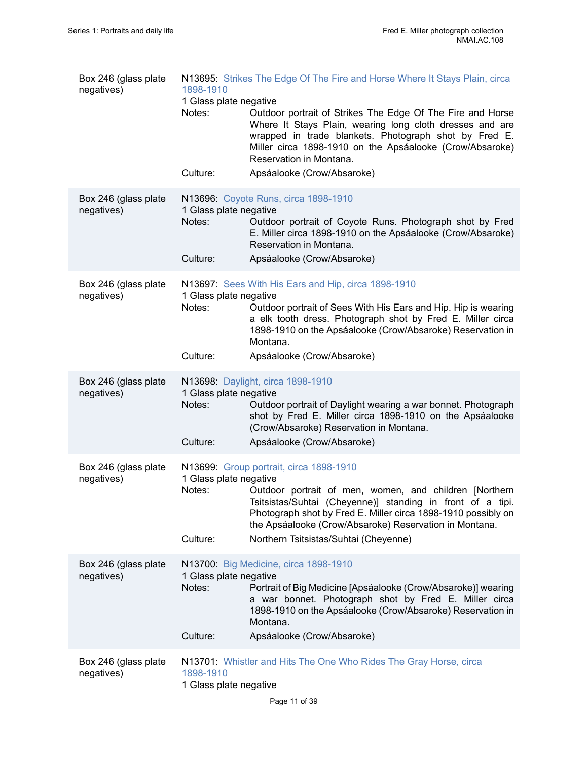| Box 246 (glass plate<br>negatives) | 1898-1910<br>1 Glass plate negative<br>Notes:<br>Culture: | N13695: Strikes The Edge Of The Fire and Horse Where It Stays Plain, circa<br>Outdoor portrait of Strikes The Edge Of The Fire and Horse<br>Where It Stays Plain, wearing long cloth dresses and are<br>wrapped in trade blankets. Photograph shot by Fred E.<br>Miller circa 1898-1910 on the Apsáalooke (Crow/Absaroke)<br>Reservation in Montana.<br>Apsáalooke (Crow/Absaroke) |
|------------------------------------|-----------------------------------------------------------|------------------------------------------------------------------------------------------------------------------------------------------------------------------------------------------------------------------------------------------------------------------------------------------------------------------------------------------------------------------------------------|
| Box 246 (glass plate               |                                                           | N13696: Coyote Runs, circa 1898-1910                                                                                                                                                                                                                                                                                                                                               |
| negatives)                         | 1 Glass plate negative<br>Notes:                          | Outdoor portrait of Coyote Runs. Photograph shot by Fred<br>E. Miller circa 1898-1910 on the Apsáalooke (Crow/Absaroke)<br>Reservation in Montana.                                                                                                                                                                                                                                 |
|                                    | Culture:                                                  | Apsáalooke (Crow/Absaroke)                                                                                                                                                                                                                                                                                                                                                         |
| Box 246 (glass plate<br>negatives) | 1 Glass plate negative<br>Notes:                          | N13697: Sees With His Ears and Hip, circa 1898-1910<br>Outdoor portrait of Sees With His Ears and Hip. Hip is wearing<br>a elk tooth dress. Photograph shot by Fred E. Miller circa<br>1898-1910 on the Apsáalooke (Crow/Absaroke) Reservation in<br>Montana.                                                                                                                      |
|                                    | Culture:                                                  | Apsáalooke (Crow/Absaroke)                                                                                                                                                                                                                                                                                                                                                         |
| Box 246 (glass plate<br>negatives) | 1 Glass plate negative<br>Notes:                          | N13698: Daylight, circa 1898-1910<br>Outdoor portrait of Daylight wearing a war bonnet. Photograph<br>shot by Fred E. Miller circa 1898-1910 on the Apsáalooke<br>(Crow/Absaroke) Reservation in Montana.                                                                                                                                                                          |
|                                    | Culture:                                                  | Apsáalooke (Crow/Absaroke)                                                                                                                                                                                                                                                                                                                                                         |
| Box 246 (glass plate<br>negatives) | 1 Glass plate negative<br>Notes:<br>Culture:              | N13699: Group portrait, circa 1898-1910<br>Outdoor portrait of men, women, and children [Northern<br>Tsitsistas/Suhtai (Cheyenne)] standing in front of a tipi.<br>Photograph shot by Fred E. Miller circa 1898-1910 possibly on<br>the Apsáalooke (Crow/Absaroke) Reservation in Montana.<br>Northern Tsitsistas/Suhtai (Cheyenne)                                                |
| Box 246 (glass plate<br>negatives) | 1 Glass plate negative<br>Notes:<br>Culture:              | N13700: Big Medicine, circa 1898-1910<br>Portrait of Big Medicine [Apsáalooke (Crow/Absaroke)] wearing<br>a war bonnet. Photograph shot by Fred E. Miller circa<br>1898-1910 on the Apsáalooke (Crow/Absaroke) Reservation in<br>Montana.<br>Apsáalooke (Crow/Absaroke)                                                                                                            |
| Box 246 (glass plate<br>negatives) | 1898-1910<br>1 Glass plate negative                       | N13701: Whistler and Hits The One Who Rides The Gray Horse, circa                                                                                                                                                                                                                                                                                                                  |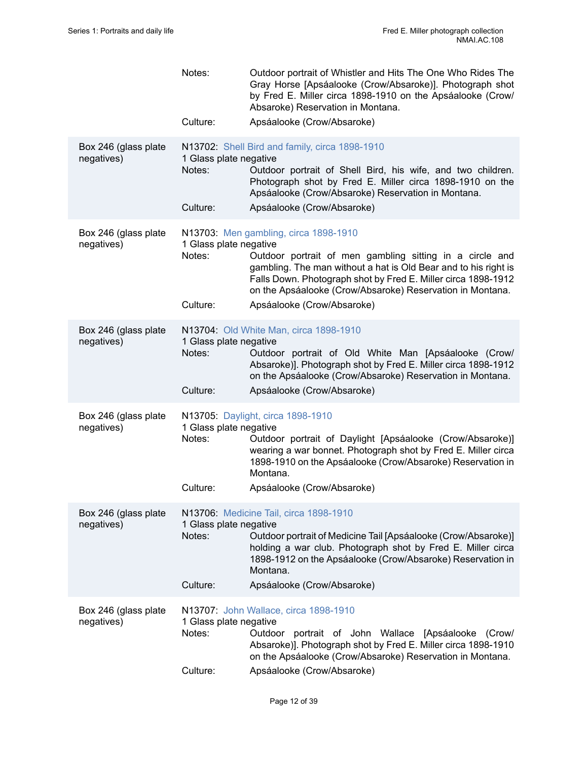|                                    | Notes:<br>Culture:                           | Outdoor portrait of Whistler and Hits The One Who Rides The<br>Gray Horse [Apsáalooke (Crow/Absaroke)]. Photograph shot<br>by Fred E. Miller circa 1898-1910 on the Apsáalooke (Crow/<br>Absaroke) Reservation in Montana.<br>Apsáalooke (Crow/Absaroke)                                           |
|------------------------------------|----------------------------------------------|----------------------------------------------------------------------------------------------------------------------------------------------------------------------------------------------------------------------------------------------------------------------------------------------------|
| Box 246 (glass plate<br>negatives) | 1 Glass plate negative<br>Notes:             | N13702: Shell Bird and family, circa 1898-1910<br>Outdoor portrait of Shell Bird, his wife, and two children.<br>Photograph shot by Fred E. Miller circa 1898-1910 on the<br>Apsáalooke (Crow/Absaroke) Reservation in Montana.                                                                    |
|                                    | Culture:                                     | Apsáalooke (Crow/Absaroke)                                                                                                                                                                                                                                                                         |
| Box 246 (glass plate<br>negatives) | 1 Glass plate negative<br>Notes:             | N13703: Men gambling, circa 1898-1910<br>Outdoor portrait of men gambling sitting in a circle and<br>gambling. The man without a hat is Old Bear and to his right is<br>Falls Down. Photograph shot by Fred E. Miller circa 1898-1912<br>on the Apsáalooke (Crow/Absaroke) Reservation in Montana. |
|                                    | Culture:                                     | Apsáalooke (Crow/Absaroke)                                                                                                                                                                                                                                                                         |
| Box 246 (glass plate<br>negatives) | 1 Glass plate negative<br>Notes:<br>Culture: | N13704: Old White Man, circa 1898-1910<br>Outdoor portrait of Old White Man [Apsáalooke (Crow/<br>Absaroke)]. Photograph shot by Fred E. Miller circa 1898-1912<br>on the Apsáalooke (Crow/Absaroke) Reservation in Montana.<br>Apsáalooke (Crow/Absaroke)                                         |
| Box 246 (glass plate<br>negatives) | 1 Glass plate negative<br>Notes:<br>Culture: | N13705: Daylight, circa 1898-1910<br>Outdoor portrait of Daylight [Apsáalooke (Crow/Absaroke)]<br>wearing a war bonnet. Photograph shot by Fred E. Miller circa<br>1898-1910 on the Apsáalooke (Crow/Absaroke) Reservation in<br>Montana.<br>Apsáalooke (Crow/Absaroke)                            |
| Box 246 (glass plate<br>negatives) | 1 Glass plate negative<br>Notes:<br>Culture: | N13706: Medicine Tail, circa 1898-1910<br>Outdoor portrait of Medicine Tail [Apsáalooke (Crow/Absaroke)]<br>holding a war club. Photograph shot by Fred E. Miller circa<br>1898-1912 on the Apsáalooke (Crow/Absaroke) Reservation in<br>Montana.<br>Apsáalooke (Crow/Absaroke)                    |
|                                    |                                              |                                                                                                                                                                                                                                                                                                    |
| Box 246 (glass plate<br>negatives) | 1 Glass plate negative<br>Notes:             | N13707: John Wallace, circa 1898-1910<br>Outdoor portrait of John Wallace [Apsáalooke (Crow/<br>Absaroke)]. Photograph shot by Fred E. Miller circa 1898-1910<br>on the Apsáalooke (Crow/Absaroke) Reservation in Montana.                                                                         |
|                                    | Culture:                                     | Apsáalooke (Crow/Absaroke)                                                                                                                                                                                                                                                                         |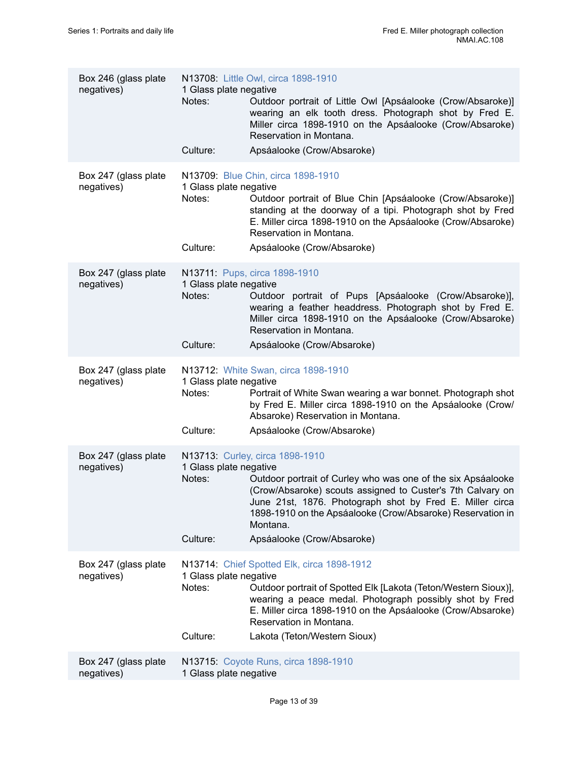| Culture:<br>Apsáalooke (Crow/Absaroke)                                                                                                                                                                                                                                                                                                                                                                                  |  |
|-------------------------------------------------------------------------------------------------------------------------------------------------------------------------------------------------------------------------------------------------------------------------------------------------------------------------------------------------------------------------------------------------------------------------|--|
|                                                                                                                                                                                                                                                                                                                                                                                                                         |  |
| N13709: Blue Chin, circa 1898-1910<br>Box 247 (glass plate<br>1 Glass plate negative<br>negatives)<br>Notes:<br>Outdoor portrait of Blue Chin [Apsáalooke (Crow/Absaroke)]<br>standing at the doorway of a tipi. Photograph shot by Fred<br>E. Miller circa 1898-1910 on the Apsáalooke (Crow/Absaroke)<br>Reservation in Montana.                                                                                      |  |
| Culture:<br>Apsáalooke (Crow/Absaroke)                                                                                                                                                                                                                                                                                                                                                                                  |  |
| Box 247 (glass plate<br>N13711: Pups, circa 1898-1910<br>negatives)<br>1 Glass plate negative<br>Notes:<br>Outdoor portrait of Pups [Apsáalooke (Crow/Absaroke)],<br>wearing a feather headdress. Photograph shot by Fred E.<br>Miller circa 1898-1910 on the Apsáalooke (Crow/Absaroke)<br>Reservation in Montana.                                                                                                     |  |
| Culture:<br>Apsáalooke (Crow/Absaroke)                                                                                                                                                                                                                                                                                                                                                                                  |  |
| N13712: White Swan, circa 1898-1910<br>Box 247 (glass plate<br>negatives)<br>1 Glass plate negative<br>Notes:<br>Portrait of White Swan wearing a war bonnet. Photograph shot<br>by Fred E. Miller circa 1898-1910 on the Apsáalooke (Crow/<br>Absaroke) Reservation in Montana.<br>Culture:<br>Apsáalooke (Crow/Absaroke)                                                                                              |  |
| N13713: Curley, circa 1898-1910<br>Box 247 (glass plate<br>negatives)<br>1 Glass plate negative<br>Notes:<br>Outdoor portrait of Curley who was one of the six Apsáalooke<br>(Crow/Absaroke) scouts assigned to Custer's 7th Calvary on<br>June 21st, 1876. Photograph shot by Fred E. Miller circa<br>1898-1910 on the Apsáalooke (Crow/Absaroke) Reservation in<br>Montana.<br>Culture:<br>Apsáalooke (Crow/Absaroke) |  |
| N13714: Chief Spotted Elk, circa 1898-1912<br>Box 247 (glass plate                                                                                                                                                                                                                                                                                                                                                      |  |
| 1 Glass plate negative<br>negatives)<br>Notes:<br>Outdoor portrait of Spotted Elk [Lakota (Teton/Western Sioux)],<br>wearing a peace medal. Photograph possibly shot by Fred<br>E. Miller circa 1898-1910 on the Apsáalooke (Crow/Absaroke)<br>Reservation in Montana.<br>Culture:<br>Lakota (Teton/Western Sioux)                                                                                                      |  |
| Box 247 (glass plate<br>N13715: Coyote Runs, circa 1898-1910<br>1 Glass plate negative<br>negatives)                                                                                                                                                                                                                                                                                                                    |  |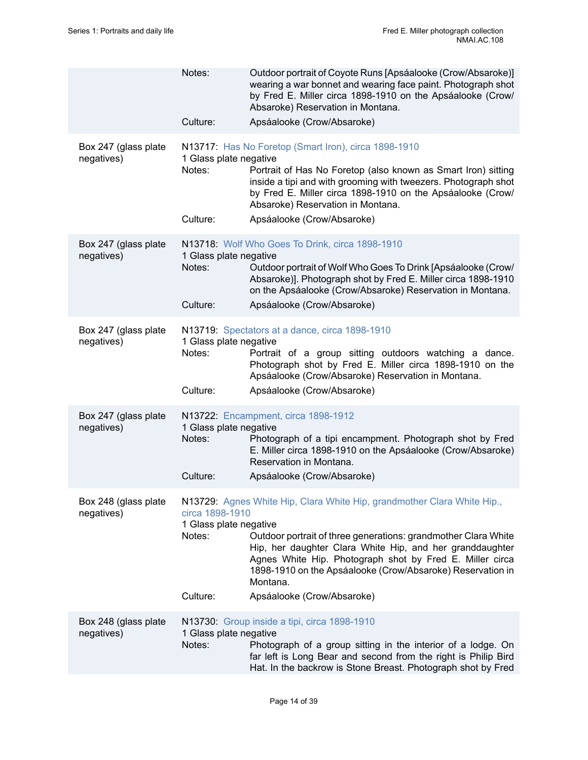|                                    | Notes:<br>Culture:                                              | Outdoor portrait of Coyote Runs [Apsáalooke (Crow/Absaroke)]<br>wearing a war bonnet and wearing face paint. Photograph shot<br>by Fred E. Miller circa 1898-1910 on the Apsáalooke (Crow/<br>Absaroke) Reservation in Montana.<br>Apsáalooke (Crow/Absaroke)                                                                                                             |
|------------------------------------|-----------------------------------------------------------------|---------------------------------------------------------------------------------------------------------------------------------------------------------------------------------------------------------------------------------------------------------------------------------------------------------------------------------------------------------------------------|
| Box 247 (glass plate<br>negatives) | 1 Glass plate negative<br>Notes:<br>Culture:                    | N13717: Has No Foretop (Smart Iron), circa 1898-1910<br>Portrait of Has No Foretop (also known as Smart Iron) sitting<br>inside a tipi and with grooming with tweezers. Photograph shot<br>by Fred E. Miller circa 1898-1910 on the Apsáalooke (Crow/<br>Absaroke) Reservation in Montana.<br>Apsáalooke (Crow/Absaroke)                                                  |
| Box 247 (glass plate<br>negatives) | 1 Glass plate negative<br>Notes:<br>Culture:                    | N13718: Wolf Who Goes To Drink, circa 1898-1910<br>Outdoor portrait of Wolf Who Goes To Drink [Apsáalooke (Crow/<br>Absaroke)]. Photograph shot by Fred E. Miller circa 1898-1910<br>on the Apsáalooke (Crow/Absaroke) Reservation in Montana.<br>Apsáalooke (Crow/Absaroke)                                                                                              |
| Box 247 (glass plate<br>negatives) | 1 Glass plate negative<br>Notes:<br>Culture:                    | N13719: Spectators at a dance, circa 1898-1910<br>Portrait of a group sitting outdoors watching a dance.<br>Photograph shot by Fred E. Miller circa 1898-1910 on the<br>Apsáalooke (Crow/Absaroke) Reservation in Montana.<br>Apsáalooke (Crow/Absaroke)                                                                                                                  |
| Box 247 (glass plate<br>negatives) | 1 Glass plate negative<br>Notes:<br>Culture:                    | N13722: Encampment, circa 1898-1912<br>Photograph of a tipi encampment. Photograph shot by Fred<br>E. Miller circa 1898-1910 on the Apsáalooke (Crow/Absaroke)<br>Reservation in Montana.<br>Apsáalooke (Crow/Absaroke)                                                                                                                                                   |
| Box 248 (glass plate<br>negatives) | circa 1898-1910<br>1 Glass plate negative<br>Notes:<br>Culture: | N13729: Agnes White Hip, Clara White Hip, grandmother Clara White Hip.,<br>Outdoor portrait of three generations: grandmother Clara White<br>Hip, her daughter Clara White Hip, and her granddaughter<br>Agnes White Hip. Photograph shot by Fred E. Miller circa<br>1898-1910 on the Apsáalooke (Crow/Absaroke) Reservation in<br>Montana.<br>Apsáalooke (Crow/Absaroke) |
| Box 248 (glass plate<br>negatives) | 1 Glass plate negative<br>Notes:                                | N13730: Group inside a tipi, circa 1898-1910<br>Photograph of a group sitting in the interior of a lodge. On<br>far left is Long Bear and second from the right is Philip Bird<br>Hat. In the backrow is Stone Breast. Photograph shot by Fred                                                                                                                            |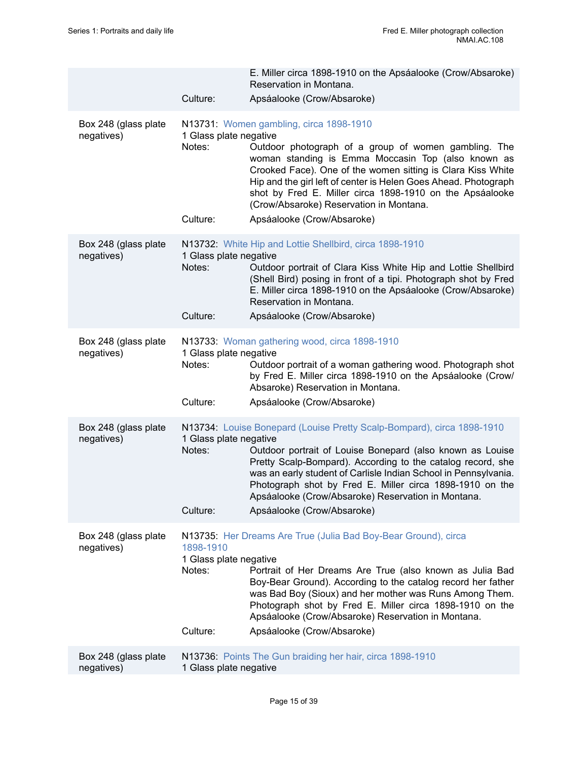|                                    | Culture:                                                  | E. Miller circa 1898-1910 on the Apsáalooke (Crow/Absaroke)<br>Reservation in Montana.<br>Apsáalooke (Crow/Absaroke)                                                                                                                                                                                                                                                                                                         |
|------------------------------------|-----------------------------------------------------------|------------------------------------------------------------------------------------------------------------------------------------------------------------------------------------------------------------------------------------------------------------------------------------------------------------------------------------------------------------------------------------------------------------------------------|
| Box 248 (glass plate<br>negatives) | 1 Glass plate negative<br>Notes:<br>Culture:              | N13731: Women gambling, circa 1898-1910<br>Outdoor photograph of a group of women gambling. The<br>woman standing is Emma Moccasin Top (also known as<br>Crooked Face). One of the women sitting is Clara Kiss White<br>Hip and the girl left of center is Helen Goes Ahead. Photograph<br>shot by Fred E. Miller circa 1898-1910 on the Apsáalooke<br>(Crow/Absaroke) Reservation in Montana.<br>Apsáalooke (Crow/Absaroke) |
| Box 248 (glass plate<br>negatives) | 1 Glass plate negative<br>Notes:<br>Culture:              | N13732: White Hip and Lottie Shellbird, circa 1898-1910<br>Outdoor portrait of Clara Kiss White Hip and Lottie Shellbird<br>(Shell Bird) posing in front of a tipi. Photograph shot by Fred<br>E. Miller circa 1898-1910 on the Apsáalooke (Crow/Absaroke)<br>Reservation in Montana.<br>Apsáalooke (Crow/Absaroke)                                                                                                          |
| Box 248 (glass plate<br>negatives) | 1 Glass plate negative<br>Notes:<br>Culture:              | N13733: Woman gathering wood, circa 1898-1910<br>Outdoor portrait of a woman gathering wood. Photograph shot<br>by Fred E. Miller circa 1898-1910 on the Apsáalooke (Crow/<br>Absaroke) Reservation in Montana.<br>Apsáalooke (Crow/Absaroke)                                                                                                                                                                                |
| Box 248 (glass plate<br>negatives) | 1 Glass plate negative<br>Notes:<br>Culture:              | N13734: Louise Bonepard (Louise Pretty Scalp-Bompard), circa 1898-1910<br>Outdoor portrait of Louise Bonepard (also known as Louise<br>Pretty Scalp-Bompard). According to the catalog record, she<br>was an early student of Carlisle Indian School in Pennsylvania.<br>Photograph shot by Fred E. Miller circa 1898-1910 on the<br>Apsáalooke (Crow/Absaroke) Reservation in Montana.<br>Apsáalooke (Crow/Absaroke)        |
| Box 248 (glass plate<br>negatives) | 1898-1910<br>1 Glass plate negative<br>Notes:<br>Culture: | N13735: Her Dreams Are True (Julia Bad Boy-Bear Ground), circa<br>Portrait of Her Dreams Are True (also known as Julia Bad<br>Boy-Bear Ground). According to the catalog record her father<br>was Bad Boy (Sioux) and her mother was Runs Among Them.<br>Photograph shot by Fred E. Miller circa 1898-1910 on the<br>Apsáalooke (Crow/Absaroke) Reservation in Montana.<br>Apsáalooke (Crow/Absaroke)                        |
| Box 248 (glass plate<br>negatives) | 1 Glass plate negative                                    | N13736: Points The Gun braiding her hair, circa 1898-1910                                                                                                                                                                                                                                                                                                                                                                    |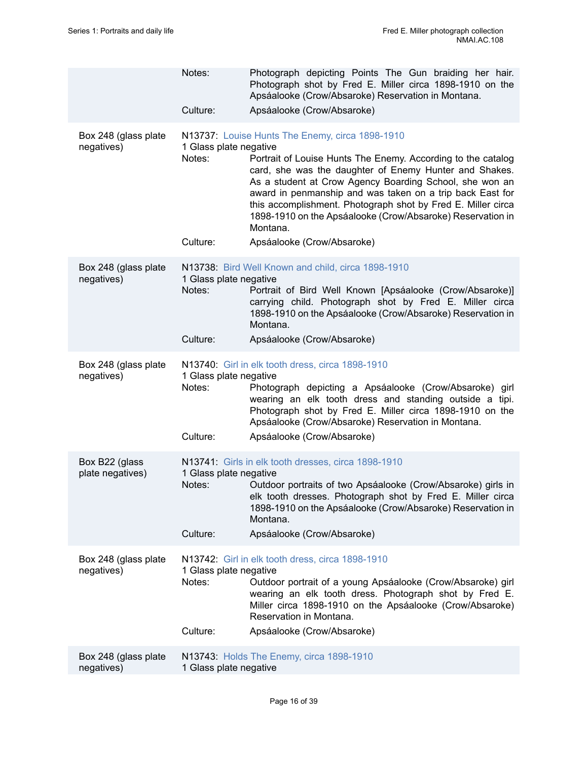|                                    | Notes:                                       | Photograph depicting Points The Gun braiding her hair.<br>Photograph shot by Fred E. Miller circa 1898-1910 on the<br>Apsáalooke (Crow/Absaroke) Reservation in Montana.                                                                                                                                                                                                                                                                                                  |
|------------------------------------|----------------------------------------------|---------------------------------------------------------------------------------------------------------------------------------------------------------------------------------------------------------------------------------------------------------------------------------------------------------------------------------------------------------------------------------------------------------------------------------------------------------------------------|
|                                    | Culture:                                     | Apsáalooke (Crow/Absaroke)                                                                                                                                                                                                                                                                                                                                                                                                                                                |
| Box 248 (glass plate<br>negatives) | 1 Glass plate negative<br>Notes:<br>Culture: | N13737: Louise Hunts The Enemy, circa 1898-1910<br>Portrait of Louise Hunts The Enemy. According to the catalog<br>card, she was the daughter of Enemy Hunter and Shakes.<br>As a student at Crow Agency Boarding School, she won an<br>award in penmanship and was taken on a trip back East for<br>this accomplishment. Photograph shot by Fred E. Miller circa<br>1898-1910 on the Apsáalooke (Crow/Absaroke) Reservation in<br>Montana.<br>Apsáalooke (Crow/Absaroke) |
|                                    |                                              |                                                                                                                                                                                                                                                                                                                                                                                                                                                                           |
| Box 248 (glass plate<br>negatives) | 1 Glass plate negative<br>Notes:             | N13738: Bird Well Known and child, circa 1898-1910<br>Portrait of Bird Well Known [Apsáalooke (Crow/Absaroke)]<br>carrying child. Photograph shot by Fred E. Miller circa<br>1898-1910 on the Apsáalooke (Crow/Absaroke) Reservation in<br>Montana.                                                                                                                                                                                                                       |
|                                    | Culture:                                     | Apsáalooke (Crow/Absaroke)                                                                                                                                                                                                                                                                                                                                                                                                                                                |
| Box 248 (glass plate<br>negatives) | 1 Glass plate negative<br>Notes:<br>Culture: | N13740: Girl in elk tooth dress, circa 1898-1910<br>Photograph depicting a Apsáalooke (Crow/Absaroke) girl<br>wearing an elk tooth dress and standing outside a tipi.<br>Photograph shot by Fred E. Miller circa 1898-1910 on the<br>Apsáalooke (Crow/Absaroke) Reservation in Montana.<br>Apsáalooke (Crow/Absaroke)                                                                                                                                                     |
|                                    |                                              |                                                                                                                                                                                                                                                                                                                                                                                                                                                                           |
| Box B22 (glass<br>plate negatives) | 1 Glass plate negative<br>Notes:             | N13741: Girls in elk tooth dresses, circa 1898-1910<br>Outdoor portraits of two Apsáalooke (Crow/Absaroke) girls in<br>elk tooth dresses. Photograph shot by Fred E. Miller circa<br>1898-1910 on the Apsáalooke (Crow/Absaroke) Reservation in<br>Montana.                                                                                                                                                                                                               |
|                                    | Culture:                                     | Apsáalooke (Crow/Absaroke)                                                                                                                                                                                                                                                                                                                                                                                                                                                |
| Box 248 (glass plate<br>negatives) | 1 Glass plate negative<br>Notes:<br>Culture: | N13742: Girl in elk tooth dress, circa 1898-1910<br>Outdoor portrait of a young Apsáalooke (Crow/Absaroke) girl<br>wearing an elk tooth dress. Photograph shot by Fred E.<br>Miller circa 1898-1910 on the Apsáalooke (Crow/Absaroke)<br>Reservation in Montana.<br>Apsáalooke (Crow/Absaroke)                                                                                                                                                                            |
| Box 248 (glass plate<br>negatives) | 1 Glass plate negative                       | N13743: Holds The Enemy, circa 1898-1910                                                                                                                                                                                                                                                                                                                                                                                                                                  |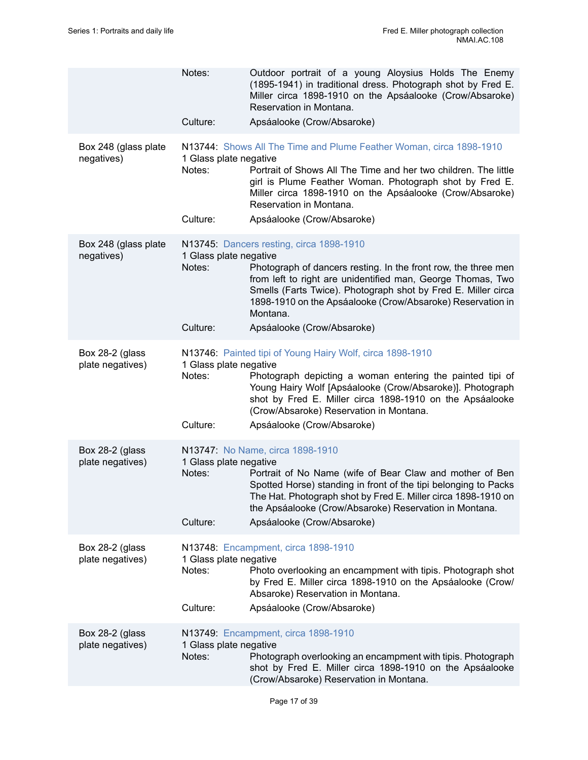|                                     | Notes:<br>Culture:                           | Outdoor portrait of a young Aloysius Holds The Enemy<br>(1895-1941) in traditional dress. Photograph shot by Fred E.<br>Miller circa 1898-1910 on the Apsáalooke (Crow/Absaroke)<br>Reservation in Montana.<br>Apsáalooke (Crow/Absaroke)                                                                                                          |
|-------------------------------------|----------------------------------------------|----------------------------------------------------------------------------------------------------------------------------------------------------------------------------------------------------------------------------------------------------------------------------------------------------------------------------------------------------|
|                                     |                                              |                                                                                                                                                                                                                                                                                                                                                    |
| Box 248 (glass plate<br>negatives)  | 1 Glass plate negative<br>Notes:<br>Culture: | N13744: Shows All The Time and Plume Feather Woman, circa 1898-1910<br>Portrait of Shows All The Time and her two children. The little<br>girl is Plume Feather Woman. Photograph shot by Fred E.<br>Miller circa 1898-1910 on the Apsáalooke (Crow/Absaroke)<br>Reservation in Montana.<br>Apsáalooke (Crow/Absaroke)                             |
|                                     |                                              |                                                                                                                                                                                                                                                                                                                                                    |
| Box 248 (glass plate<br>negatives)  | 1 Glass plate negative<br>Notes:<br>Culture: | N13745: Dancers resting, circa 1898-1910<br>Photograph of dancers resting. In the front row, the three men<br>from left to right are unidentified man, George Thomas, Two<br>Smells (Farts Twice). Photograph shot by Fred E. Miller circa<br>1898-1910 on the Apsáalooke (Crow/Absaroke) Reservation in<br>Montana.<br>Apsáalooke (Crow/Absaroke) |
|                                     |                                              |                                                                                                                                                                                                                                                                                                                                                    |
| Box 28-2 (glass<br>plate negatives) | 1 Glass plate negative<br>Notes:<br>Culture: | N13746: Painted tipi of Young Hairy Wolf, circa 1898-1910<br>Photograph depicting a woman entering the painted tipi of<br>Young Hairy Wolf [Apsáalooke (Crow/Absaroke)]. Photograph<br>shot by Fred E. Miller circa 1898-1910 on the Apsáalooke<br>(Crow/Absaroke) Reservation in Montana.<br>Apsáalooke (Crow/Absaroke)                           |
|                                     |                                              |                                                                                                                                                                                                                                                                                                                                                    |
| Box 28-2 (glass<br>plate negatives) | 1 Glass plate negative<br>Notes:<br>Culture: | N13747: No Name, circa 1898-1910<br>Portrait of No Name (wife of Bear Claw and mother of Ben<br>Spotted Horse) standing in front of the tipi belonging to Packs<br>The Hat. Photograph shot by Fred E. Miller circa 1898-1910 on<br>the Apsáalooke (Crow/Absaroke) Reservation in Montana.<br>Apsáalooke (Crow/Absaroke)                           |
|                                     |                                              |                                                                                                                                                                                                                                                                                                                                                    |
| Box 28-2 (glass<br>plate negatives) | 1 Glass plate negative<br>Notes:<br>Culture: | N13748: Encampment, circa 1898-1910<br>Photo overlooking an encampment with tipis. Photograph shot<br>by Fred E. Miller circa 1898-1910 on the Apsáalooke (Crow/<br>Absaroke) Reservation in Montana.<br>Apsáalooke (Crow/Absaroke)                                                                                                                |
|                                     |                                              |                                                                                                                                                                                                                                                                                                                                                    |
| Box 28-2 (glass<br>plate negatives) | 1 Glass plate negative<br>Notes:             | N13749: Encampment, circa 1898-1910<br>Photograph overlooking an encampment with tipis. Photograph<br>shot by Fred E. Miller circa 1898-1910 on the Apsáalooke<br>(Crow/Absaroke) Reservation in Montana.                                                                                                                                          |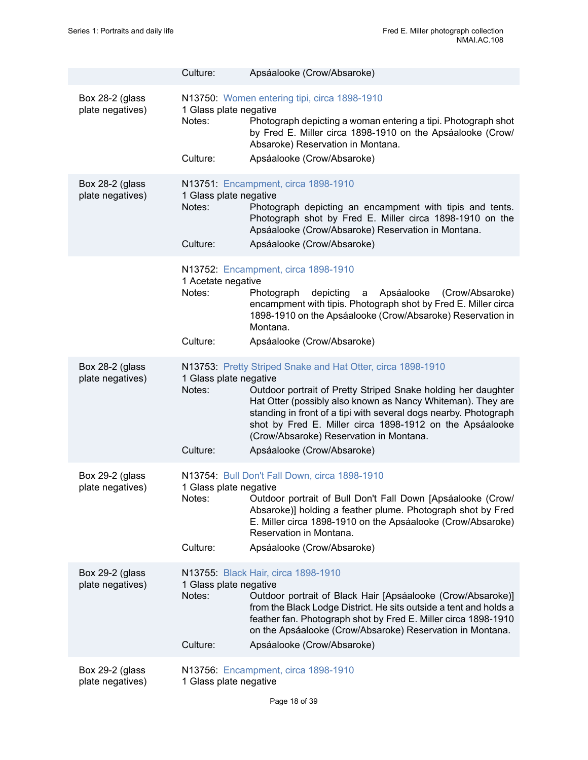|                                     | Culture:                                     | Apsáalooke (Crow/Absaroke)                                                                                                                                                                                                                                                                                                                                                                           |
|-------------------------------------|----------------------------------------------|------------------------------------------------------------------------------------------------------------------------------------------------------------------------------------------------------------------------------------------------------------------------------------------------------------------------------------------------------------------------------------------------------|
| Box 28-2 (glass<br>plate negatives) | 1 Glass plate negative<br>Notes:<br>Culture: | N13750: Women entering tipi, circa 1898-1910<br>Photograph depicting a woman entering a tipi. Photograph shot<br>by Fred E. Miller circa 1898-1910 on the Apsáalooke (Crow/<br>Absaroke) Reservation in Montana.<br>Apsáalooke (Crow/Absaroke)                                                                                                                                                       |
| Box 28-2 (glass<br>plate negatives) | 1 Glass plate negative<br>Notes:<br>Culture: | N13751: Encampment, circa 1898-1910<br>Photograph depicting an encampment with tipis and tents.<br>Photograph shot by Fred E. Miller circa 1898-1910 on the<br>Apsáalooke (Crow/Absaroke) Reservation in Montana.<br>Apsáalooke (Crow/Absaroke)                                                                                                                                                      |
|                                     | 1 Acetate negative<br>Notes:<br>Culture:     | N13752: Encampment, circa 1898-1910<br>depicting<br>Photograph<br>Apsáalooke<br>(Crow/Absaroke)<br>a<br>encampment with tipis. Photograph shot by Fred E. Miller circa<br>1898-1910 on the Apsáalooke (Crow/Absaroke) Reservation in<br>Montana.<br>Apsáalooke (Crow/Absaroke)                                                                                                                       |
| Box 28-2 (glass<br>plate negatives) | 1 Glass plate negative<br>Notes:<br>Culture: | N13753: Pretty Striped Snake and Hat Otter, circa 1898-1910<br>Outdoor portrait of Pretty Striped Snake holding her daughter<br>Hat Otter (possibly also known as Nancy Whiteman). They are<br>standing in front of a tipi with several dogs nearby. Photograph<br>shot by Fred E. Miller circa 1898-1912 on the Apsáalooke<br>(Crow/Absaroke) Reservation in Montana.<br>Apsáalooke (Crow/Absaroke) |
| Box 29-2 (glass<br>plate negatives) | 1 Glass plate negative<br>Notes:<br>Culture: | N13754: Bull Don't Fall Down, circa 1898-1910<br>Outdoor portrait of Bull Don't Fall Down [Apsáalooke (Crow/<br>Absaroke)] holding a feather plume. Photograph shot by Fred<br>E. Miller circa 1898-1910 on the Apsáalooke (Crow/Absaroke)<br>Reservation in Montana.<br>Apsáalooke (Crow/Absaroke)                                                                                                  |
| Box 29-2 (glass<br>plate negatives) | 1 Glass plate negative<br>Notes:<br>Culture: | N13755: Black Hair, circa 1898-1910<br>Outdoor portrait of Black Hair [Apsáalooke (Crow/Absaroke)]<br>from the Black Lodge District. He sits outside a tent and holds a<br>feather fan. Photograph shot by Fred E. Miller circa 1898-1910<br>on the Apsáalooke (Crow/Absaroke) Reservation in Montana.<br>Apsáalooke (Crow/Absaroke)                                                                 |
| Box 29-2 (glass<br>plate negatives) | 1 Glass plate negative                       | N13756: Encampment, circa 1898-1910                                                                                                                                                                                                                                                                                                                                                                  |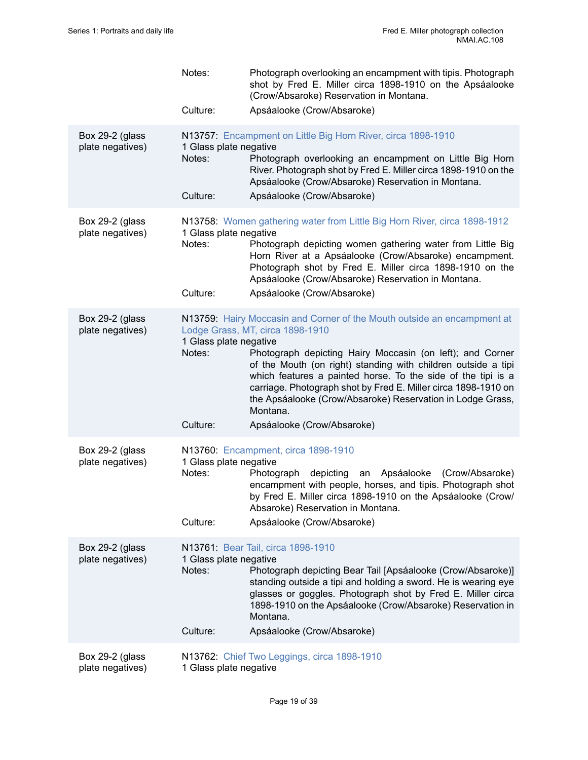|                                     | Notes:                                       | Photograph overlooking an encampment with tipis. Photograph<br>shot by Fred E. Miller circa 1898-1910 on the Apsáalooke<br>(Crow/Absaroke) Reservation in Montana.                                                                                                                                                                                                                                                                                                                  |
|-------------------------------------|----------------------------------------------|-------------------------------------------------------------------------------------------------------------------------------------------------------------------------------------------------------------------------------------------------------------------------------------------------------------------------------------------------------------------------------------------------------------------------------------------------------------------------------------|
|                                     | Culture:                                     | Apsáalooke (Crow/Absaroke)                                                                                                                                                                                                                                                                                                                                                                                                                                                          |
| Box 29-2 (glass<br>plate negatives) | 1 Glass plate negative<br>Notes:<br>Culture: | N13757: Encampment on Little Big Horn River, circa 1898-1910<br>Photograph overlooking an encampment on Little Big Horn<br>River. Photograph shot by Fred E. Miller circa 1898-1910 on the<br>Apsáalooke (Crow/Absaroke) Reservation in Montana.<br>Apsáalooke (Crow/Absaroke)                                                                                                                                                                                                      |
| Box 29-2 (glass<br>plate negatives) | 1 Glass plate negative<br>Notes:<br>Culture: | N13758: Women gathering water from Little Big Horn River, circa 1898-1912<br>Photograph depicting women gathering water from Little Big<br>Horn River at a Apsáalooke (Crow/Absaroke) encampment.<br>Photograph shot by Fred E. Miller circa 1898-1910 on the<br>Apsáalooke (Crow/Absaroke) Reservation in Montana.<br>Apsáalooke (Crow/Absaroke)                                                                                                                                   |
| Box 29-2 (glass<br>plate negatives) | 1 Glass plate negative<br>Notes:<br>Culture: | N13759: Hairy Moccasin and Corner of the Mouth outside an encampment at<br>Lodge Grass, MT, circa 1898-1910<br>Photograph depicting Hairy Moccasin (on left); and Corner<br>of the Mouth (on right) standing with children outside a tipi<br>which features a painted horse. To the side of the tipi is a<br>carriage. Photograph shot by Fred E. Miller circa 1898-1910 on<br>the Apsáalooke (Crow/Absaroke) Reservation in Lodge Grass,<br>Montana.<br>Apsáalooke (Crow/Absaroke) |
| Box 29-2 (glass<br>plate negatives) | 1 Glass plate negative<br>Notes:<br>Culture: | N13760: Encampment, circa 1898-1910<br>depicting an Apsáalooke (Crow/Absaroke)<br>Photograph<br>encampment with people, horses, and tipis. Photograph shot<br>by Fred E. Miller circa 1898-1910 on the Apsáalooke (Crow/<br>Absaroke) Reservation in Montana.<br>Apsáalooke (Crow/Absaroke)                                                                                                                                                                                         |
| Box 29-2 (glass<br>plate negatives) | 1 Glass plate negative<br>Notes:<br>Culture: | N13761: Bear Tail, circa 1898-1910<br>Photograph depicting Bear Tail [Apsáalooke (Crow/Absaroke)]<br>standing outside a tipi and holding a sword. He is wearing eye<br>glasses or goggles. Photograph shot by Fred E. Miller circa<br>1898-1910 on the Apsáalooke (Crow/Absaroke) Reservation in<br>Montana.<br>Apsáalooke (Crow/Absaroke)                                                                                                                                          |
| Box 29-2 (glass<br>plate negatives) | 1 Glass plate negative                       | N13762: Chief Two Leggings, circa 1898-1910                                                                                                                                                                                                                                                                                                                                                                                                                                         |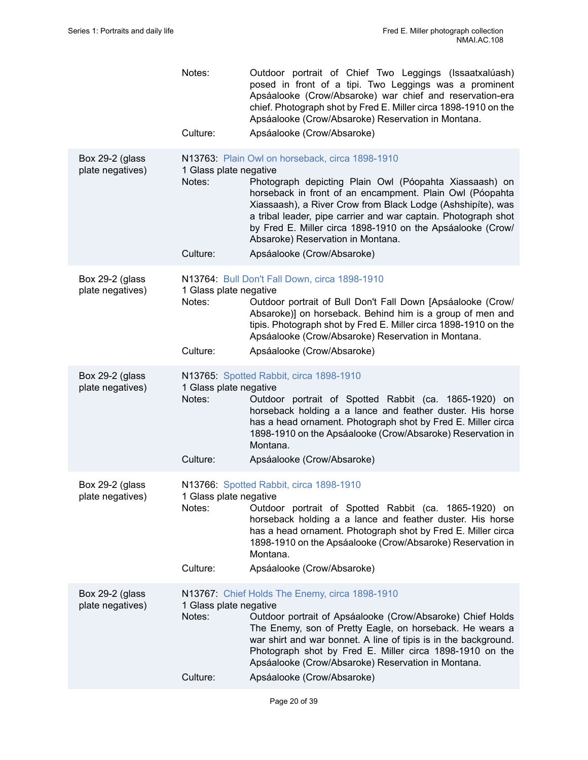|                                     | Notes:<br>Culture:                           | Outdoor portrait of Chief Two Leggings (Issaatxalúash)<br>posed in front of a tipi. Two Leggings was a prominent<br>Apsáalooke (Crow/Absaroke) war chief and reservation-era<br>chief. Photograph shot by Fred E. Miller circa 1898-1910 on the<br>Apsáalooke (Crow/Absaroke) Reservation in Montana.<br>Apsáalooke (Crow/Absaroke)                                                                       |
|-------------------------------------|----------------------------------------------|-----------------------------------------------------------------------------------------------------------------------------------------------------------------------------------------------------------------------------------------------------------------------------------------------------------------------------------------------------------------------------------------------------------|
|                                     |                                              |                                                                                                                                                                                                                                                                                                                                                                                                           |
| Box 29-2 (glass<br>plate negatives) | 1 Glass plate negative<br>Notes:             | N13763: Plain Owl on horseback, circa 1898-1910<br>Photograph depicting Plain Owl (Póopahta Xiassaash) on<br>horseback in front of an encampment. Plain Owl (Póopahta<br>Xiassaash), a River Crow from Black Lodge (Ashshipíte), was<br>a tribal leader, pipe carrier and war captain. Photograph shot<br>by Fred E. Miller circa 1898-1910 on the Apsáalooke (Crow/<br>Absaroke) Reservation in Montana. |
|                                     | Culture:                                     | Apsáalooke (Crow/Absaroke)                                                                                                                                                                                                                                                                                                                                                                                |
| Box 29-2 (glass<br>plate negatives) | 1 Glass plate negative<br>Notes:             | N13764: Bull Don't Fall Down, circa 1898-1910<br>Outdoor portrait of Bull Don't Fall Down [Apsáalooke (Crow/<br>Absaroke)] on horseback. Behind him is a group of men and<br>tipis. Photograph shot by Fred E. Miller circa 1898-1910 on the<br>Apsáalooke (Crow/Absaroke) Reservation in Montana.                                                                                                        |
|                                     | Culture:                                     | Apsáalooke (Crow/Absaroke)                                                                                                                                                                                                                                                                                                                                                                                |
| Box 29-2 (glass<br>plate negatives) | 1 Glass plate negative<br>Notes:             | N13765: Spotted Rabbit, circa 1898-1910<br>Outdoor portrait of Spotted Rabbit (ca. 1865-1920) on<br>horseback holding a a lance and feather duster. His horse<br>has a head ornament. Photograph shot by Fred E. Miller circa<br>1898-1910 on the Apsáalooke (Crow/Absaroke) Reservation in<br>Montana.                                                                                                   |
|                                     | Culture:                                     | Apsáalooke (Crow/Absaroke)                                                                                                                                                                                                                                                                                                                                                                                |
| Box 29-2 (glass<br>plate negatives) | 1 Glass plate negative<br>Notes:             | N13766: Spotted Rabbit, circa 1898-1910<br>Outdoor portrait of Spotted Rabbit (ca. 1865-1920) on<br>horseback holding a a lance and feather duster. His horse<br>has a head ornament. Photograph shot by Fred E. Miller circa<br>1898-1910 on the Apsáalooke (Crow/Absaroke) Reservation in<br>Montana.                                                                                                   |
|                                     | Culture:                                     | Apsáalooke (Crow/Absaroke)                                                                                                                                                                                                                                                                                                                                                                                |
| Box 29-2 (glass<br>plate negatives) | 1 Glass plate negative<br>Notes:<br>Culture: | N13767: Chief Holds The Enemy, circa 1898-1910<br>Outdoor portrait of Apsáalooke (Crow/Absaroke) Chief Holds<br>The Enemy, son of Pretty Eagle, on horseback. He wears a<br>war shirt and war bonnet. A line of tipis is in the background.<br>Photograph shot by Fred E. Miller circa 1898-1910 on the<br>Apsáalooke (Crow/Absaroke) Reservation in Montana.<br>Apsáalooke (Crow/Absaroke)               |
|                                     |                                              |                                                                                                                                                                                                                                                                                                                                                                                                           |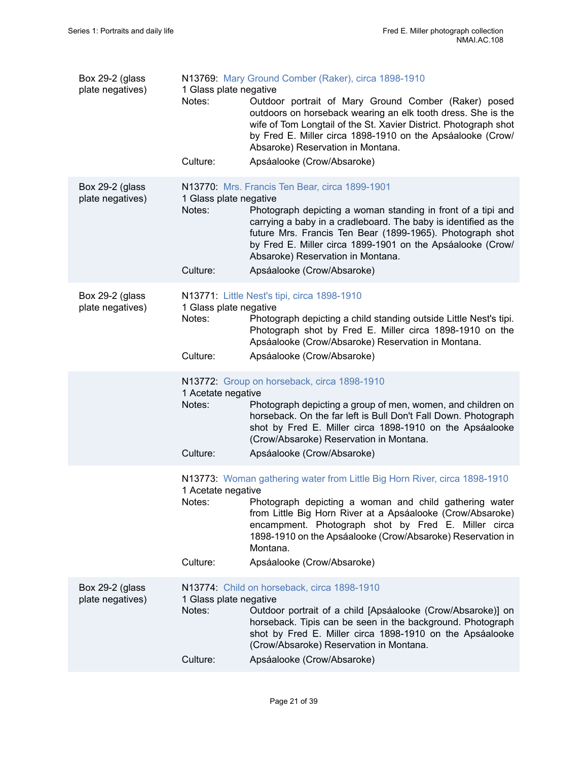| Box 29-2 (glass<br>plate negatives) | 1 Glass plate negative<br>Notes:             | N13769: Mary Ground Comber (Raker), circa 1898-1910<br>Outdoor portrait of Mary Ground Comber (Raker) posed<br>outdoors on horseback wearing an elk tooth dress. She is the<br>wife of Tom Longtail of the St. Xavier District. Photograph shot<br>by Fred E. Miller circa 1898-1910 on the Apsáalooke (Crow/<br>Absaroke) Reservation in Montana. |
|-------------------------------------|----------------------------------------------|----------------------------------------------------------------------------------------------------------------------------------------------------------------------------------------------------------------------------------------------------------------------------------------------------------------------------------------------------|
|                                     | Culture:                                     | Apsáalooke (Crow/Absaroke)                                                                                                                                                                                                                                                                                                                         |
| Box 29-2 (glass<br>plate negatives) | 1 Glass plate negative<br>Notes:             | N13770: Mrs. Francis Ten Bear, circa 1899-1901<br>Photograph depicting a woman standing in front of a tipi and<br>carrying a baby in a cradleboard. The baby is identified as the<br>future Mrs. Francis Ten Bear (1899-1965). Photograph shot<br>by Fred E. Miller circa 1899-1901 on the Apsáalooke (Crow/<br>Absaroke) Reservation in Montana.  |
|                                     | Culture:                                     | Apsáalooke (Crow/Absaroke)                                                                                                                                                                                                                                                                                                                         |
| Box 29-2 (glass<br>plate negatives) | 1 Glass plate negative<br>Notes:             | N13771: Little Nest's tipi, circa 1898-1910<br>Photograph depicting a child standing outside Little Nest's tipi.<br>Photograph shot by Fred E. Miller circa 1898-1910 on the<br>Apsáalooke (Crow/Absaroke) Reservation in Montana.                                                                                                                 |
|                                     | Culture:                                     | Apsáalooke (Crow/Absaroke)                                                                                                                                                                                                                                                                                                                         |
|                                     | 1 Acetate negative<br>Notes:                 | N13772: Group on horseback, circa 1898-1910<br>Photograph depicting a group of men, women, and children on<br>horseback. On the far left is Bull Don't Fall Down. Photograph<br>shot by Fred E. Miller circa 1898-1910 on the Apsáalooke<br>(Crow/Absaroke) Reservation in Montana.                                                                |
|                                     | Culture:                                     | Apsáalooke (Crow/Absaroke)                                                                                                                                                                                                                                                                                                                         |
|                                     | 1 Acetate negative<br>Notes:                 | N13773: Woman gathering water from Little Big Horn River, circa 1898-1910<br>Photograph depicting a woman and child gathering water<br>from Little Big Horn River at a Apsáalooke (Crow/Absaroke)<br>encampment. Photograph shot by Fred E. Miller circa<br>1898-1910 on the Apsáalooke (Crow/Absaroke) Reservation in<br>Montana.                 |
|                                     | Culture:                                     | Apsáalooke (Crow/Absaroke)                                                                                                                                                                                                                                                                                                                         |
| Box 29-2 (glass<br>plate negatives) | 1 Glass plate negative<br>Notes:<br>Culture: | N13774: Child on horseback, circa 1898-1910<br>Outdoor portrait of a child [Apsáalooke (Crow/Absaroke)] on<br>horseback. Tipis can be seen in the background. Photograph<br>shot by Fred E. Miller circa 1898-1910 on the Apsáalooke<br>(Crow/Absaroke) Reservation in Montana.<br>Apsáalooke (Crow/Absaroke)                                      |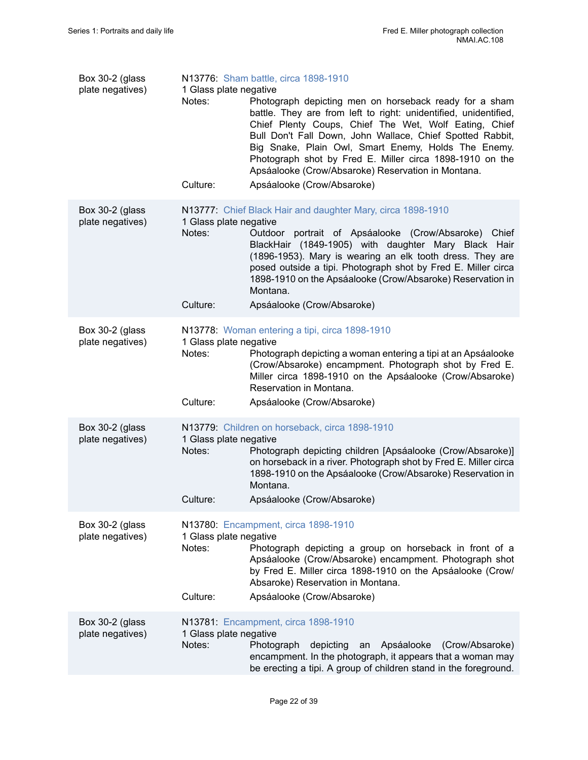| Box 30-2 (glass<br>plate negatives) | 1 Glass plate negative<br>Notes:<br>Culture: | N13776: Sham battle, circa 1898-1910<br>Photograph depicting men on horseback ready for a sham<br>battle. They are from left to right: unidentified, unidentified,<br>Chief Plenty Coups, Chief The Wet, Wolf Eating, Chief<br>Bull Don't Fall Down, John Wallace, Chief Spotted Rabbit,<br>Big Snake, Plain Owl, Smart Enemy, Holds The Enemy.<br>Photograph shot by Fred E. Miller circa 1898-1910 on the<br>Apsáalooke (Crow/Absaroke) Reservation in Montana.<br>Apsáalooke (Crow/Absaroke) |
|-------------------------------------|----------------------------------------------|-------------------------------------------------------------------------------------------------------------------------------------------------------------------------------------------------------------------------------------------------------------------------------------------------------------------------------------------------------------------------------------------------------------------------------------------------------------------------------------------------|
| Box 30-2 (glass<br>plate negatives) | 1 Glass plate negative<br>Notes:             | N13777: Chief Black Hair and daughter Mary, circa 1898-1910<br>Outdoor portrait of Apsáalooke (Crow/Absaroke) Chief<br>BlackHair (1849-1905) with daughter Mary Black Hair<br>(1896-1953). Mary is wearing an elk tooth dress. They are<br>posed outside a tipi. Photograph shot by Fred E. Miller circa<br>1898-1910 on the Apsáalooke (Crow/Absaroke) Reservation in<br>Montana.                                                                                                              |
|                                     | Culture:                                     | Apsáalooke (Crow/Absaroke)                                                                                                                                                                                                                                                                                                                                                                                                                                                                      |
| Box 30-2 (glass<br>plate negatives) | 1 Glass plate negative<br>Notes:<br>Culture: | N13778: Woman entering a tipi, circa 1898-1910<br>Photograph depicting a woman entering a tipi at an Apsáalooke<br>(Crow/Absaroke) encampment. Photograph shot by Fred E.<br>Miller circa 1898-1910 on the Apsáalooke (Crow/Absaroke)<br>Reservation in Montana.<br>Apsáalooke (Crow/Absaroke)                                                                                                                                                                                                  |
| Box 30-2 (glass<br>plate negatives) | 1 Glass plate negative<br>Notes:<br>Culture: | N13779: Children on horseback, circa 1898-1910<br>Photograph depicting children [Apsáalooke (Crow/Absaroke)]<br>on horseback in a river. Photograph shot by Fred E. Miller circa<br>1898-1910 on the Apsáalooke (Crow/Absaroke) Reservation in<br>Montana.<br>Apsáalooke (Crow/Absaroke)                                                                                                                                                                                                        |
| Box 30-2 (glass<br>plate negatives) | 1 Glass plate negative<br>Notes:<br>Culture: | N13780: Encampment, circa 1898-1910<br>Photograph depicting a group on horseback in front of a<br>Apsáalooke (Crow/Absaroke) encampment. Photograph shot<br>by Fred E. Miller circa 1898-1910 on the Apsáalooke (Crow/<br>Absaroke) Reservation in Montana.<br>Apsáalooke (Crow/Absaroke)                                                                                                                                                                                                       |
| Box 30-2 (glass<br>plate negatives) | 1 Glass plate negative<br>Notes:             | N13781: Encampment, circa 1898-1910<br>Photograph<br>depicting<br>Apsáalooke<br>(Crow/Absaroke)<br>an<br>encampment. In the photograph, it appears that a woman may<br>be erecting a tipi. A group of children stand in the foreground.                                                                                                                                                                                                                                                         |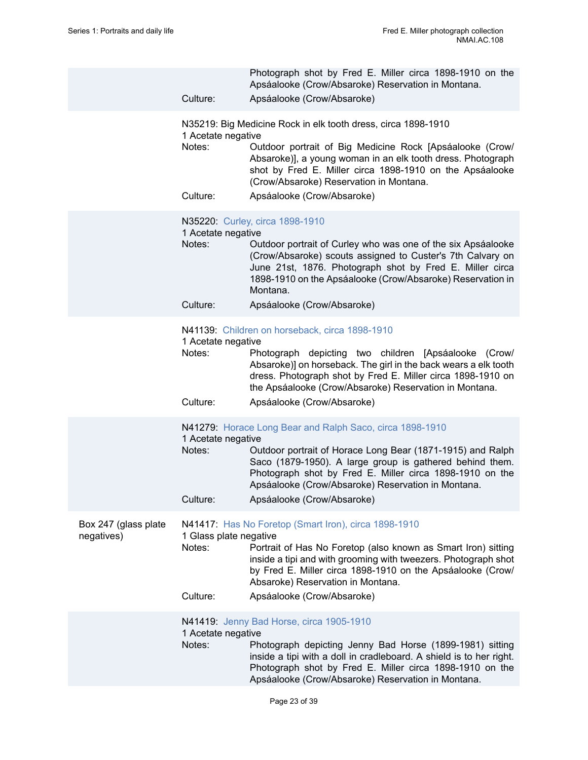|                                    | Culture:                                     | Photograph shot by Fred E. Miller circa 1898-1910 on the<br>Apsáalooke (Crow/Absaroke) Reservation in Montana.<br>Apsáalooke (Crow/Absaroke)                                                                                                                                                                                       |
|------------------------------------|----------------------------------------------|------------------------------------------------------------------------------------------------------------------------------------------------------------------------------------------------------------------------------------------------------------------------------------------------------------------------------------|
|                                    | 1 Acetate negative<br>Notes:<br>Culture:     | N35219: Big Medicine Rock in elk tooth dress, circa 1898-1910<br>Outdoor portrait of Big Medicine Rock [Apsáalooke (Crow/<br>Absaroke)], a young woman in an elk tooth dress. Photograph<br>shot by Fred E. Miller circa 1898-1910 on the Apsáalooke<br>(Crow/Absaroke) Reservation in Montana.<br>Apsáalooke (Crow/Absaroke)      |
|                                    | 1 Acetate negative<br>Notes:<br>Culture:     | N35220: Curley, circa 1898-1910<br>Outdoor portrait of Curley who was one of the six Apsáalooke<br>(Crow/Absaroke) scouts assigned to Custer's 7th Calvary on<br>June 21st, 1876. Photograph shot by Fred E. Miller circa<br>1898-1910 on the Apsáalooke (Crow/Absaroke) Reservation in<br>Montana.<br>Apsáalooke (Crow/Absaroke)  |
|                                    | 1 Acetate negative<br>Notes:<br>Culture:     | N41139: Children on horseback, circa 1898-1910<br>Photograph depicting two children [Apsáalooke (Crow/<br>Absaroke)] on horseback. The girl in the back wears a elk tooth<br>dress. Photograph shot by Fred E. Miller circa 1898-1910 on<br>the Apsáalooke (Crow/Absaroke) Reservation in Montana.<br>Apsáalooke (Crow/Absaroke)   |
|                                    | 1 Acetate negative<br>Notes:<br>Culture:     | N41279: Horace Long Bear and Ralph Saco, circa 1898-1910<br>Outdoor portrait of Horace Long Bear (1871-1915) and Ralph<br>Saco (1879-1950). A large group is gathered behind them.<br>Photograph shot by Fred E. Miller circa 1898-1910 on the<br>Apsáalooke (Crow/Absaroke) Reservation in Montana.<br>Apsáalooke (Crow/Absaroke) |
| Box 247 (glass plate<br>negatives) | 1 Glass plate negative<br>Notes:<br>Culture: | N41417: Has No Foretop (Smart Iron), circa 1898-1910<br>Portrait of Has No Foretop (also known as Smart Iron) sitting<br>inside a tipi and with grooming with tweezers. Photograph shot<br>by Fred E. Miller circa 1898-1910 on the Apsáalooke (Crow/<br>Absaroke) Reservation in Montana.<br>Apsáalooke (Crow/Absaroke)           |
|                                    | 1 Acetate negative<br>Notes:                 | N41419: Jenny Bad Horse, circa 1905-1910<br>Photograph depicting Jenny Bad Horse (1899-1981) sitting<br>inside a tipi with a doll in cradleboard. A shield is to her right.<br>Photograph shot by Fred E. Miller circa 1898-1910 on the<br>Apsáalooke (Crow/Absaroke) Reservation in Montana.                                      |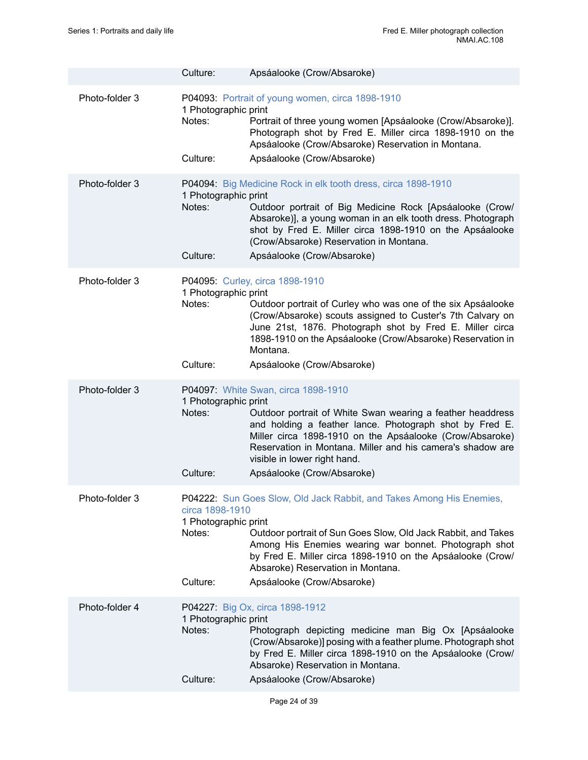|                | Culture:                                                      | Apsáalooke (Crow/Absaroke)                                                                                                                                                                                                                                                                                                                           |
|----------------|---------------------------------------------------------------|------------------------------------------------------------------------------------------------------------------------------------------------------------------------------------------------------------------------------------------------------------------------------------------------------------------------------------------------------|
| Photo-folder 3 | 1 Photographic print<br>Notes:<br>Culture:                    | P04093: Portrait of young women, circa 1898-1910<br>Portrait of three young women [Apsáalooke (Crow/Absaroke)].<br>Photograph shot by Fred E. Miller circa 1898-1910 on the<br>Apsáalooke (Crow/Absaroke) Reservation in Montana.<br>Apsáalooke (Crow/Absaroke)                                                                                      |
| Photo-folder 3 | 1 Photographic print<br>Notes:<br>Culture:                    | P04094: Big Medicine Rock in elk tooth dress, circa 1898-1910<br>Outdoor portrait of Big Medicine Rock [Apsáalooke (Crow/<br>Absaroke)], a young woman in an elk tooth dress. Photograph<br>shot by Fred E. Miller circa 1898-1910 on the Apsáalooke<br>(Crow/Absaroke) Reservation in Montana.<br>Apsáalooke (Crow/Absaroke)                        |
| Photo-folder 3 | 1 Photographic print<br>Notes:<br>Culture:                    | P04095: Curley, circa 1898-1910<br>Outdoor portrait of Curley who was one of the six Apsáalooke<br>(Crow/Absaroke) scouts assigned to Custer's 7th Calvary on<br>June 21st, 1876. Photograph shot by Fred E. Miller circa<br>1898-1910 on the Apsáalooke (Crow/Absaroke) Reservation in<br>Montana.<br>Apsáalooke (Crow/Absaroke)                    |
| Photo-folder 3 | 1 Photographic print<br>Notes:<br>Culture:                    | P04097: White Swan, circa 1898-1910<br>Outdoor portrait of White Swan wearing a feather headdress<br>and holding a feather lance. Photograph shot by Fred E.<br>Miller circa 1898-1910 on the Apsáalooke (Crow/Absaroke)<br>Reservation in Montana. Miller and his camera's shadow are<br>visible in lower right hand.<br>Apsáalooke (Crow/Absaroke) |
| Photo-folder 3 | circa 1898-1910<br>1 Photographic print<br>Notes:<br>Culture: | P04222: Sun Goes Slow, Old Jack Rabbit, and Takes Among His Enemies,<br>Outdoor portrait of Sun Goes Slow, Old Jack Rabbit, and Takes<br>Among His Enemies wearing war bonnet. Photograph shot<br>by Fred E. Miller circa 1898-1910 on the Apsáalooke (Crow/<br>Absaroke) Reservation in Montana.<br>Apsáalooke (Crow/Absaroke)                      |
| Photo-folder 4 | 1 Photographic print<br>Notes:<br>Culture:                    | P04227: Big Ox, circa 1898-1912<br>Photograph depicting medicine man Big Ox [Apsáalooke<br>(Crow/Absaroke)] posing with a feather plume. Photograph shot<br>by Fred E. Miller circa 1898-1910 on the Apsáalooke (Crow/<br>Absaroke) Reservation in Montana.<br>Apsáalooke (Crow/Absaroke)                                                            |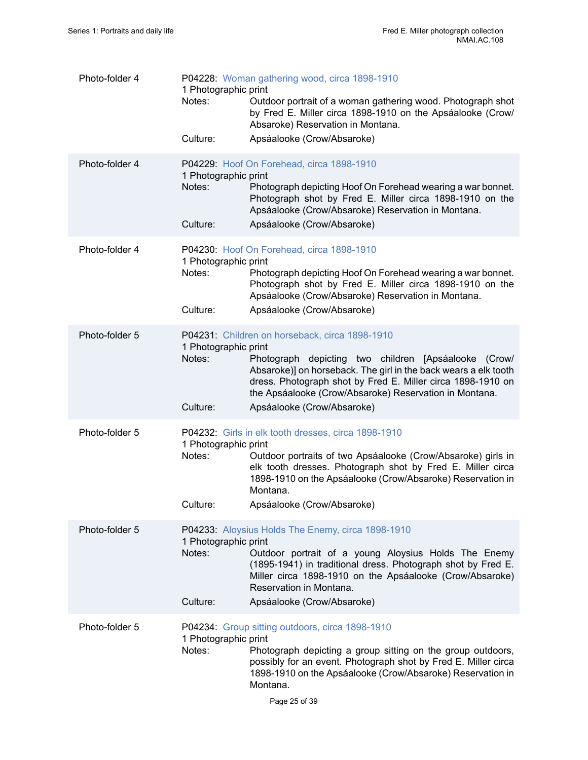| Photo-folder 4 | 1 Photographic print<br>Notes:             | P04228: Woman gathering wood, circa 1898-1910<br>Outdoor portrait of a woman gathering wood. Photograph shot<br>by Fred E. Miller circa 1898-1910 on the Apsáalooke (Crow/<br>Absaroke) Reservation in Montana.                                                                                    |
|----------------|--------------------------------------------|----------------------------------------------------------------------------------------------------------------------------------------------------------------------------------------------------------------------------------------------------------------------------------------------------|
|                | Culture:                                   | Apsáalooke (Crow/Absaroke)                                                                                                                                                                                                                                                                         |
| Photo-folder 4 | 1 Photographic print<br>Notes:<br>Culture: | P04229: Hoof On Forehead, circa 1898-1910<br>Photograph depicting Hoof On Forehead wearing a war bonnet.<br>Photograph shot by Fred E. Miller circa 1898-1910 on the<br>Apsáalooke (Crow/Absaroke) Reservation in Montana.<br>Apsáalooke (Crow/Absaroke)                                           |
|                |                                            |                                                                                                                                                                                                                                                                                                    |
| Photo-folder 4 | 1 Photographic print<br>Notes:             | P04230: Hoof On Forehead, circa 1898-1910<br>Photograph depicting Hoof On Forehead wearing a war bonnet.<br>Photograph shot by Fred E. Miller circa 1898-1910 on the<br>Apsáalooke (Crow/Absaroke) Reservation in Montana.                                                                         |
|                | Culture:                                   | Apsáalooke (Crow/Absaroke)                                                                                                                                                                                                                                                                         |
| Photo-folder 5 | 1 Photographic print<br>Notes:             | P04231: Children on horseback, circa 1898-1910<br>Photograph depicting two children [Apsáalooke (Crow/<br>Absaroke)] on horseback. The girl in the back wears a elk tooth<br>dress. Photograph shot by Fred E. Miller circa 1898-1910 on<br>the Apsáalooke (Crow/Absaroke) Reservation in Montana. |
|                | Culture:                                   | Apsáalooke (Crow/Absaroke)                                                                                                                                                                                                                                                                         |
| Photo-folder 5 | 1 Photographic print<br>Notes:             | P04232: Girls in elk tooth dresses, circa 1898-1910<br>Outdoor portraits of two Apsáalooke (Crow/Absaroke) girls in<br>elk tooth dresses. Photograph shot by Fred E. Miller circa<br>1898-1910 on the Apsáalooke (Crow/Absaroke) Reservation in<br>Montana.                                        |
|                | Culture:                                   | Apsáalooke (Crow/Absaroke)                                                                                                                                                                                                                                                                         |
| Photo-folder 5 | 1 Photographic print<br>Notes:             | P04233: Aloysius Holds The Enemy, circa 1898-1910<br>Outdoor portrait of a young Aloysius Holds The Enemy<br>(1895-1941) in traditional dress. Photograph shot by Fred E.<br>Miller circa 1898-1910 on the Apsáalooke (Crow/Absaroke)<br>Reservation in Montana.                                   |
|                | Culture:                                   | Apsáalooke (Crow/Absaroke)                                                                                                                                                                                                                                                                         |
| Photo-folder 5 | 1 Photographic print<br>Notes:             | P04234: Group sitting outdoors, circa 1898-1910<br>Photograph depicting a group sitting on the group outdoors,<br>possibly for an event. Photograph shot by Fred E. Miller circa<br>1898-1910 on the Apsáalooke (Crow/Absaroke) Reservation in<br>Montana.                                         |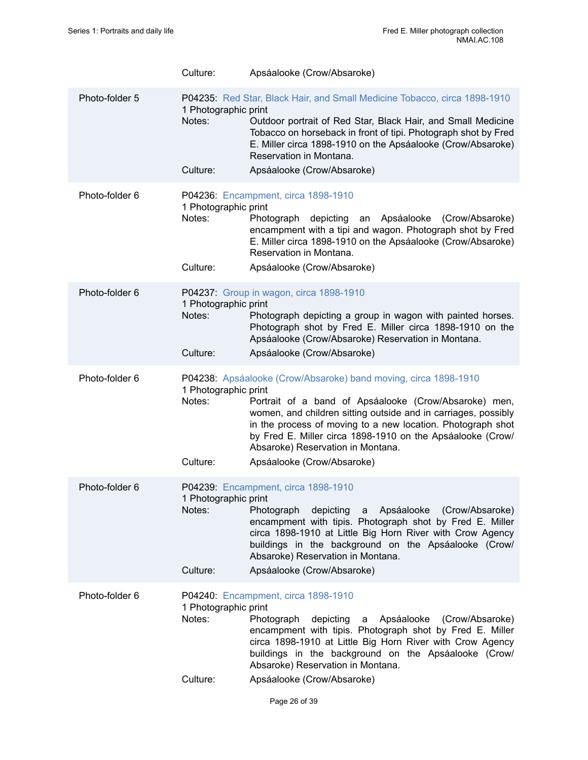|                | Culture:                                   | Apsáalooke (Crow/Absaroke)                                                                                                                                                                                                                                                                                                                                                                 |
|----------------|--------------------------------------------|--------------------------------------------------------------------------------------------------------------------------------------------------------------------------------------------------------------------------------------------------------------------------------------------------------------------------------------------------------------------------------------------|
| Photo-folder 5 | 1 Photographic print<br>Notes:<br>Culture: | P04235: Red Star, Black Hair, and Small Medicine Tobacco, circa 1898-1910<br>Outdoor portrait of Red Star, Black Hair, and Small Medicine<br>Tobacco on horseback in front of tipi. Photograph shot by Fred<br>E. Miller circa 1898-1910 on the Apsáalooke (Crow/Absaroke)<br>Reservation in Montana.<br>Apsáalooke (Crow/Absaroke)                                                        |
| Photo-folder 6 | 1 Photographic print<br>Notes:<br>Culture: | P04236: Encampment, circa 1898-1910<br>depicting<br>Photograph<br>Apsáalooke<br>(Crow/Absaroke)<br>an<br>encampment with a tipi and wagon. Photograph shot by Fred<br>E. Miller circa 1898-1910 on the Apsáalooke (Crow/Absaroke)<br>Reservation in Montana.<br>Apsáalooke (Crow/Absaroke)                                                                                                 |
| Photo-folder 6 | 1 Photographic print<br>Notes:<br>Culture: | P04237: Group in wagon, circa 1898-1910<br>Photograph depicting a group in wagon with painted horses.<br>Photograph shot by Fred E. Miller circa 1898-1910 on the<br>Apsáalooke (Crow/Absaroke) Reservation in Montana.<br>Apsáalooke (Crow/Absaroke)                                                                                                                                      |
| Photo-folder 6 | 1 Photographic print<br>Notes:<br>Culture: | P04238: Apsáalooke (Crow/Absaroke) band moving, circa 1898-1910<br>Portrait of a band of Apsáalooke (Crow/Absaroke) men,<br>women, and children sitting outside and in carriages, possibly<br>in the process of moving to a new location. Photograph shot<br>by Fred E. Miller circa 1898-1910 on the Apsáalooke (Crow/<br>Absaroke) Reservation in Montana.<br>Apsáalooke (Crow/Absaroke) |
| Photo-folder 6 | 1 Photographic print<br>Notes:<br>Culture: | P04239: Encampment, circa 1898-1910<br>Apsáalooke (Crow/Absaroke)<br>Photograph<br>depicting<br>a a<br>encampment with tipis. Photograph shot by Fred E. Miller<br>circa 1898-1910 at Little Big Horn River with Crow Agency<br>buildings in the background on the Apsáalooke (Crow/<br>Absaroke) Reservation in Montana.<br>Apsáalooke (Crow/Absaroke)                                    |
| Photo-folder 6 | 1 Photographic print<br>Notes:<br>Culture: | P04240: Encampment, circa 1898-1910<br>Photograph<br>Apsáalooke<br>(Crow/Absaroke)<br>depicting<br>a<br>encampment with tipis. Photograph shot by Fred E. Miller<br>circa 1898-1910 at Little Big Horn River with Crow Agency<br>buildings in the background on the Apsáalooke (Crow/<br>Absaroke) Reservation in Montana.<br>Apsáalooke (Crow/Absaroke)                                   |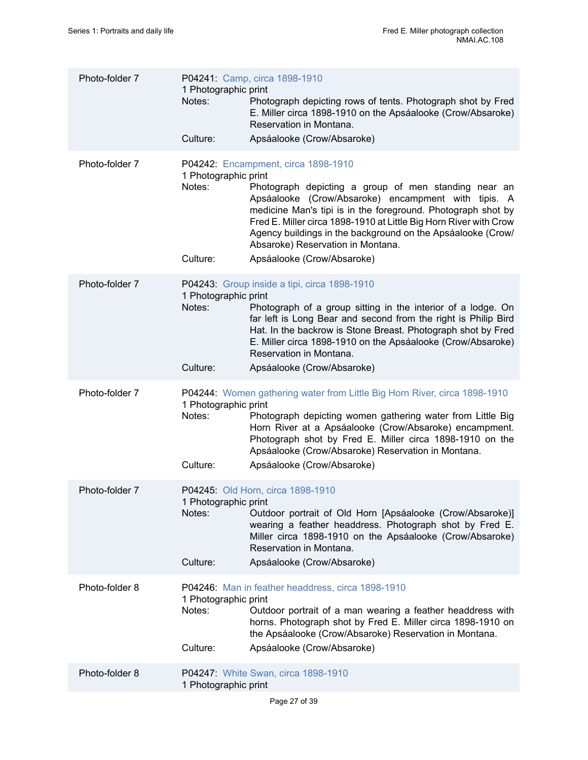| Photo-folder 7 | 1 Photographic print<br>Notes:<br>Culture: | P04241: Camp, circa 1898-1910<br>Photograph depicting rows of tents. Photograph shot by Fred<br>E. Miller circa 1898-1910 on the Apsáalooke (Crow/Absaroke)<br>Reservation in Montana.<br>Apsáalooke (Crow/Absaroke)                                                                                                                                                                                                      |
|----------------|--------------------------------------------|---------------------------------------------------------------------------------------------------------------------------------------------------------------------------------------------------------------------------------------------------------------------------------------------------------------------------------------------------------------------------------------------------------------------------|
| Photo-folder 7 | 1 Photographic print<br>Notes:<br>Culture: | P04242: Encampment, circa 1898-1910<br>Photograph depicting a group of men standing near an<br>Apsáalooke (Crow/Absaroke) encampment with tipis. A<br>medicine Man's tipi is in the foreground. Photograph shot by<br>Fred E. Miller circa 1898-1910 at Little Big Horn River with Crow<br>Agency buildings in the background on the Apsáalooke (Crow/<br>Absaroke) Reservation in Montana.<br>Apsáalooke (Crow/Absaroke) |
| Photo-folder 7 | 1 Photographic print<br>Notes:<br>Culture: | P04243: Group inside a tipi, circa 1898-1910<br>Photograph of a group sitting in the interior of a lodge. On<br>far left is Long Bear and second from the right is Philip Bird<br>Hat. In the backrow is Stone Breast. Photograph shot by Fred<br>E. Miller circa 1898-1910 on the Apsáalooke (Crow/Absaroke)<br>Reservation in Montana.<br>Apsáalooke (Crow/Absaroke)                                                    |
| Photo-folder 7 | 1 Photographic print<br>Notes:<br>Culture: | P04244: Women gathering water from Little Big Horn River, circa 1898-1910<br>Photograph depicting women gathering water from Little Big<br>Horn River at a Apsáalooke (Crow/Absaroke) encampment.<br>Photograph shot by Fred E. Miller circa 1898-1910 on the<br>Apsáalooke (Crow/Absaroke) Reservation in Montana.<br>Apsáalooke (Crow/Absaroke)                                                                         |
| Photo-folder 7 | 1 Photographic print<br>Notes:<br>Culture: | P04245: Old Horn, circa 1898-1910<br>Outdoor portrait of Old Horn [Apsáalooke (Crow/Absaroke)]<br>wearing a feather headdress. Photograph shot by Fred E.<br>Miller circa 1898-1910 on the Apsáalooke (Crow/Absaroke)<br>Reservation in Montana.<br>Apsáalooke (Crow/Absaroke)                                                                                                                                            |
| Photo-folder 8 | 1 Photographic print<br>Notes:<br>Culture: | P04246: Man in feather headdress, circa 1898-1910<br>Outdoor portrait of a man wearing a feather headdress with<br>horns. Photograph shot by Fred E. Miller circa 1898-1910 on<br>the Apsáalooke (Crow/Absaroke) Reservation in Montana.<br>Apsáalooke (Crow/Absaroke)                                                                                                                                                    |
| Photo-folder 8 | 1 Photographic print                       | P04247: White Swan, circa 1898-1910                                                                                                                                                                                                                                                                                                                                                                                       |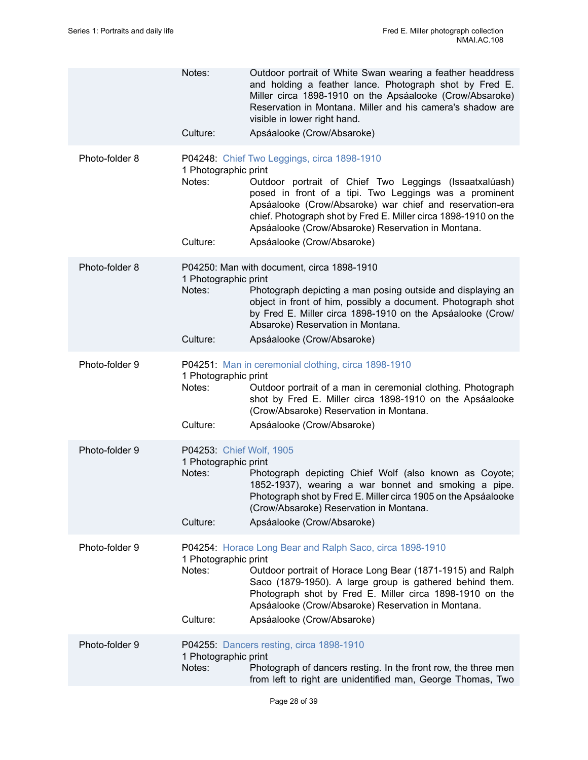|                | Notes:                                                                 | Outdoor portrait of White Swan wearing a feather headdress<br>and holding a feather lance. Photograph shot by Fred E.<br>Miller circa 1898-1910 on the Apsáalooke (Crow/Absaroke)<br>Reservation in Montana. Miller and his camera's shadow are<br>visible in lower right hand.                                                                                                    |
|----------------|------------------------------------------------------------------------|------------------------------------------------------------------------------------------------------------------------------------------------------------------------------------------------------------------------------------------------------------------------------------------------------------------------------------------------------------------------------------|
|                | Culture:                                                               | Apsáalooke (Crow/Absaroke)                                                                                                                                                                                                                                                                                                                                                         |
| Photo-folder 8 | 1 Photographic print<br>Notes:<br>Culture:                             | P04248: Chief Two Leggings, circa 1898-1910<br>Outdoor portrait of Chief Two Leggings (Issaatxalúash)<br>posed in front of a tipi. Two Leggings was a prominent<br>Apsáalooke (Crow/Absaroke) war chief and reservation-era<br>chief. Photograph shot by Fred E. Miller circa 1898-1910 on the<br>Apsáalooke (Crow/Absaroke) Reservation in Montana.<br>Apsáalooke (Crow/Absaroke) |
| Photo-folder 8 | 1 Photographic print<br>Notes:<br>Culture:                             | P04250: Man with document, circa 1898-1910<br>Photograph depicting a man posing outside and displaying an<br>object in front of him, possibly a document. Photograph shot<br>by Fred E. Miller circa 1898-1910 on the Apsáalooke (Crow/<br>Absaroke) Reservation in Montana.<br>Apsáalooke (Crow/Absaroke)                                                                         |
| Photo-folder 9 | 1 Photographic print<br>Notes:<br>Culture:                             | P04251: Man in ceremonial clothing, circa 1898-1910<br>Outdoor portrait of a man in ceremonial clothing. Photograph<br>shot by Fred E. Miller circa 1898-1910 on the Apsáalooke<br>(Crow/Absaroke) Reservation in Montana.<br>Apsáalooke (Crow/Absaroke)                                                                                                                           |
| Photo-folder 9 | P04253: Chief Wolf, 1905<br>1 Photographic print<br>Notes:<br>Culture: | Photograph depicting Chief Wolf (also known as Coyote;<br>1852-1937), wearing a war bonnet and smoking a pipe.<br>Photograph shot by Fred E. Miller circa 1905 on the Apsáalooke<br>(Crow/Absaroke) Reservation in Montana.<br>Apsáalooke (Crow/Absaroke)                                                                                                                          |
| Photo-folder 9 | 1 Photographic print<br>Notes:<br>Culture:                             | P04254: Horace Long Bear and Ralph Saco, circa 1898-1910<br>Outdoor portrait of Horace Long Bear (1871-1915) and Ralph<br>Saco (1879-1950). A large group is gathered behind them.<br>Photograph shot by Fred E. Miller circa 1898-1910 on the<br>Apsáalooke (Crow/Absaroke) Reservation in Montana.<br>Apsáalooke (Crow/Absaroke)                                                 |
| Photo-folder 9 | 1 Photographic print<br>Notes:                                         | P04255: Dancers resting, circa 1898-1910<br>Photograph of dancers resting. In the front row, the three men<br>from left to right are unidentified man, George Thomas, Two                                                                                                                                                                                                          |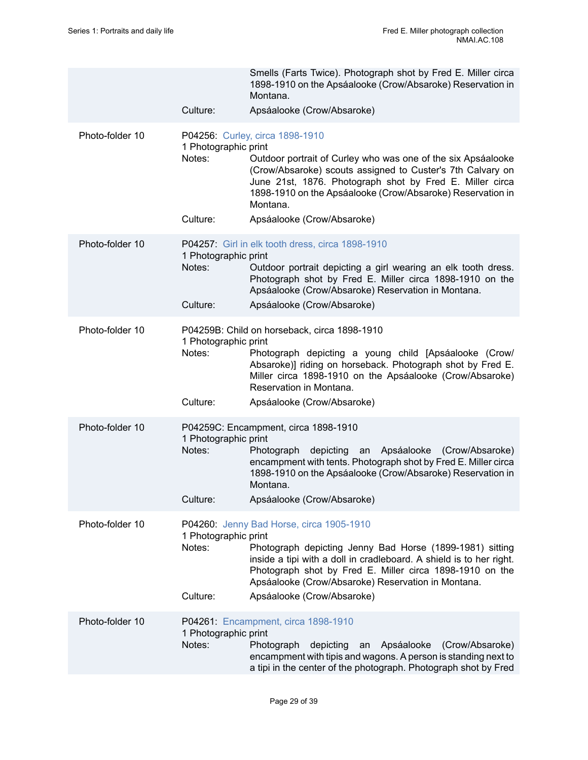|                 |                                            | Smells (Farts Twice). Photograph shot by Fred E. Miller circa<br>1898-1910 on the Apsáalooke (Crow/Absaroke) Reservation in<br>Montana.                                                                                                                                                                                           |
|-----------------|--------------------------------------------|-----------------------------------------------------------------------------------------------------------------------------------------------------------------------------------------------------------------------------------------------------------------------------------------------------------------------------------|
|                 | Culture:                                   | Apsáalooke (Crow/Absaroke)                                                                                                                                                                                                                                                                                                        |
| Photo-folder 10 | 1 Photographic print<br>Notes:<br>Culture: | P04256: Curley, circa 1898-1910<br>Outdoor portrait of Curley who was one of the six Apsáalooke<br>(Crow/Absaroke) scouts assigned to Custer's 7th Calvary on<br>June 21st, 1876. Photograph shot by Fred E. Miller circa<br>1898-1910 on the Apsáalooke (Crow/Absaroke) Reservation in<br>Montana.<br>Apsáalooke (Crow/Absaroke) |
| Photo-folder 10 | 1 Photographic print<br>Notes:<br>Culture: | P04257: Girl in elk tooth dress, circa 1898-1910<br>Outdoor portrait depicting a girl wearing an elk tooth dress.<br>Photograph shot by Fred E. Miller circa 1898-1910 on the<br>Apsáalooke (Crow/Absaroke) Reservation in Montana.<br>Apsáalooke (Crow/Absaroke)                                                                 |
|                 |                                            |                                                                                                                                                                                                                                                                                                                                   |
| Photo-folder 10 | 1 Photographic print<br>Notes:             | P04259B: Child on horseback, circa 1898-1910<br>Photograph depicting a young child [Apsáalooke (Crow/<br>Absaroke)] riding on horseback. Photograph shot by Fred E.<br>Miller circa 1898-1910 on the Apsáalooke (Crow/Absaroke)<br>Reservation in Montana.                                                                        |
|                 | Culture:                                   | Apsáalooke (Crow/Absaroke)                                                                                                                                                                                                                                                                                                        |
| Photo-folder 10 | 1 Photographic print<br>Notes:<br>Culture: | P04259C: Encampment, circa 1898-1910<br>depicting<br>Photograph<br>Apsáalooke (Crow/Absaroke)<br>an<br>encampment with tents. Photograph shot by Fred E. Miller circa<br>1898-1910 on the Apsáalooke (Crow/Absaroke) Reservation in<br>Montana.<br>Apsáalooke (Crow/Absaroke)                                                     |
| Photo-folder 10 | 1 Photographic print<br>Notes:<br>Culture: | P04260: Jenny Bad Horse, circa 1905-1910<br>Photograph depicting Jenny Bad Horse (1899-1981) sitting<br>inside a tipi with a doll in cradleboard. A shield is to her right.<br>Photograph shot by Fred E. Miller circa 1898-1910 on the<br>Apsáalooke (Crow/Absaroke) Reservation in Montana.<br>Apsáalooke (Crow/Absaroke)       |
| Photo-folder 10 |                                            | P04261: Encampment, circa 1898-1910                                                                                                                                                                                                                                                                                               |
|                 | 1 Photographic print<br>Notes:             | Photograph<br>depicting<br>Apsáalooke<br>(Crow/Absaroke)<br>an<br>encampment with tipis and wagons. A person is standing next to<br>a tipi in the center of the photograph. Photograph shot by Fred                                                                                                                               |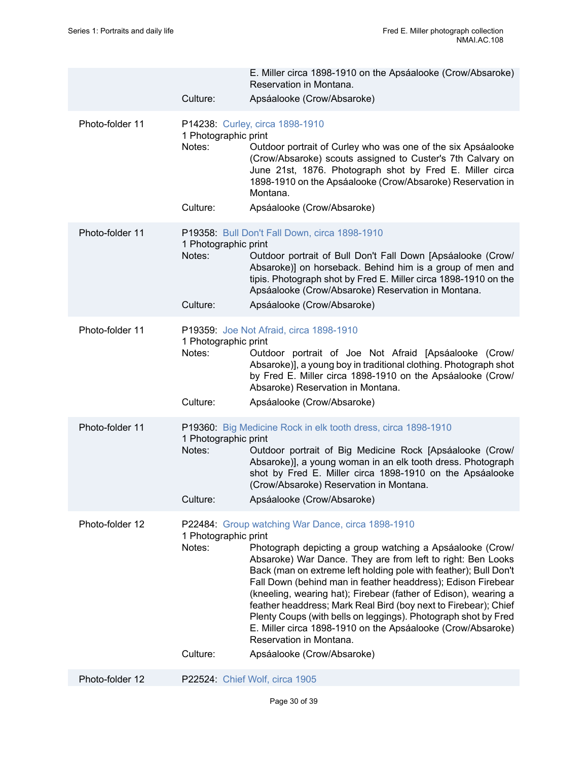|                 | Culture:                                   | E. Miller circa 1898-1910 on the Apsáalooke (Crow/Absaroke)<br>Reservation in Montana.<br>Apsáalooke (Crow/Absaroke)                                                                                                                                                                                                                                                                                                                                                                                                                                                                                                                              |
|-----------------|--------------------------------------------|---------------------------------------------------------------------------------------------------------------------------------------------------------------------------------------------------------------------------------------------------------------------------------------------------------------------------------------------------------------------------------------------------------------------------------------------------------------------------------------------------------------------------------------------------------------------------------------------------------------------------------------------------|
| Photo-folder 11 | 1 Photographic print<br>Notes:             | P14238: Curley, circa 1898-1910<br>Outdoor portrait of Curley who was one of the six Apsáalooke<br>(Crow/Absaroke) scouts assigned to Custer's 7th Calvary on<br>June 21st, 1876. Photograph shot by Fred E. Miller circa<br>1898-1910 on the Apsáalooke (Crow/Absaroke) Reservation in<br>Montana.                                                                                                                                                                                                                                                                                                                                               |
|                 | Culture:                                   | Apsáalooke (Crow/Absaroke)                                                                                                                                                                                                                                                                                                                                                                                                                                                                                                                                                                                                                        |
| Photo-folder 11 | 1 Photographic print<br>Notes:             | P19358: Bull Don't Fall Down, circa 1898-1910<br>Outdoor portrait of Bull Don't Fall Down [Apsáalooke (Crow/<br>Absaroke)] on horseback. Behind him is a group of men and<br>tipis. Photograph shot by Fred E. Miller circa 1898-1910 on the<br>Apsáalooke (Crow/Absaroke) Reservation in Montana.                                                                                                                                                                                                                                                                                                                                                |
|                 | Culture:                                   | Apsáalooke (Crow/Absaroke)                                                                                                                                                                                                                                                                                                                                                                                                                                                                                                                                                                                                                        |
| Photo-folder 11 | 1 Photographic print<br>Notes:<br>Culture: | P19359: Joe Not Afraid, circa 1898-1910<br>Outdoor portrait of Joe Not Afraid [Apsáalooke (Crow/<br>Absaroke)], a young boy in traditional clothing. Photograph shot<br>by Fred E. Miller circa 1898-1910 on the Apsáalooke (Crow/<br>Absaroke) Reservation in Montana.<br>Apsáalooke (Crow/Absaroke)                                                                                                                                                                                                                                                                                                                                             |
| Photo-folder 11 |                                            | P19360: Big Medicine Rock in elk tooth dress, circa 1898-1910                                                                                                                                                                                                                                                                                                                                                                                                                                                                                                                                                                                     |
|                 | 1 Photographic print<br>Notes:<br>Culture: | Outdoor portrait of Big Medicine Rock [Apsáalooke (Crow/<br>Absaroke)], a young woman in an elk tooth dress. Photograph<br>shot by Fred E. Miller circa 1898-1910 on the Apsáalooke<br>(Crow/Absaroke) Reservation in Montana.<br>Apsáalooke (Crow/Absaroke)                                                                                                                                                                                                                                                                                                                                                                                      |
| Photo-folder 12 | 1 Photographic print<br>Notes:<br>Culture: | P22484: Group watching War Dance, circa 1898-1910<br>Photograph depicting a group watching a Apsáalooke (Crow/<br>Absaroke) War Dance. They are from left to right: Ben Looks<br>Back (man on extreme left holding pole with feather); Bull Don't<br>Fall Down (behind man in feather headdress); Edison Firebear<br>(kneeling, wearing hat); Firebear (father of Edison), wearing a<br>feather headdress; Mark Real Bird (boy next to Firebear); Chief<br>Plenty Coups (with bells on leggings). Photograph shot by Fred<br>E. Miller circa 1898-1910 on the Apsáalooke (Crow/Absaroke)<br>Reservation in Montana.<br>Apsáalooke (Crow/Absaroke) |
| Photo-folder 12 |                                            | P22524: Chief Wolf, circa 1905                                                                                                                                                                                                                                                                                                                                                                                                                                                                                                                                                                                                                    |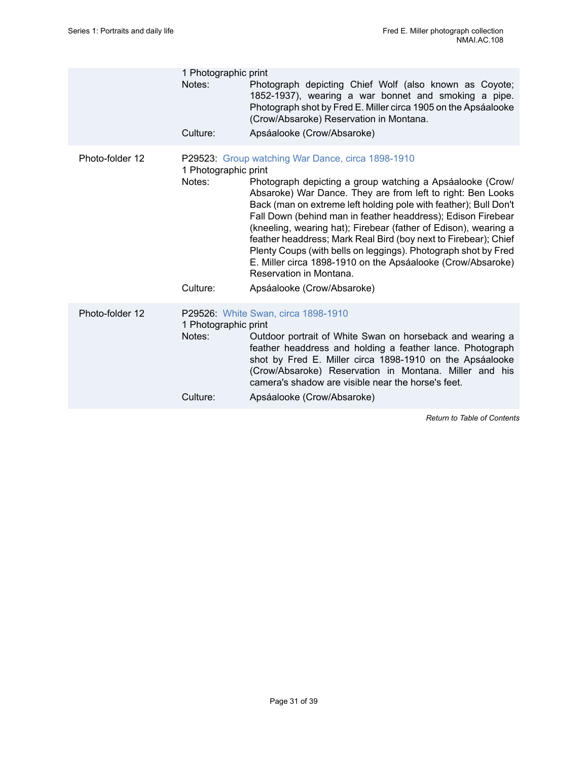|                 | 1 Photographic print<br>Notes:             | Photograph depicting Chief Wolf (also known as Coyote;<br>1852-1937), wearing a war bonnet and smoking a pipe.<br>Photograph shot by Fred E. Miller circa 1905 on the Apsáalooke                                                                                                                                                                                                                                                                                                                                                                                                                                                                  |
|-----------------|--------------------------------------------|---------------------------------------------------------------------------------------------------------------------------------------------------------------------------------------------------------------------------------------------------------------------------------------------------------------------------------------------------------------------------------------------------------------------------------------------------------------------------------------------------------------------------------------------------------------------------------------------------------------------------------------------------|
|                 | Culture:                                   | (Crow/Absaroke) Reservation in Montana.<br>Apsáalooke (Crow/Absaroke)                                                                                                                                                                                                                                                                                                                                                                                                                                                                                                                                                                             |
| Photo-folder 12 | 1 Photographic print<br>Notes:<br>Culture: | P29523: Group watching War Dance, circa 1898-1910<br>Photograph depicting a group watching a Apsáalooke (Crow/<br>Absaroke) War Dance. They are from left to right: Ben Looks<br>Back (man on extreme left holding pole with feather); Bull Don't<br>Fall Down (behind man in feather headdress); Edison Firebear<br>(kneeling, wearing hat); Firebear (father of Edison), wearing a<br>feather headdress; Mark Real Bird (boy next to Firebear); Chief<br>Plenty Coups (with bells on leggings). Photograph shot by Fred<br>E. Miller circa 1898-1910 on the Apsáalooke (Crow/Absaroke)<br>Reservation in Montana.<br>Apsáalooke (Crow/Absaroke) |
| Photo-folder 12 | 1 Photographic print<br>Notes:<br>Culture: | P29526: White Swan, circa 1898-1910<br>Outdoor portrait of White Swan on horseback and wearing a<br>feather headdress and holding a feather lance. Photograph<br>shot by Fred E. Miller circa 1898-1910 on the Apsáalooke<br>(Crow/Absaroke) Reservation in Montana. Miller and his<br>camera's shadow are visible near the horse's feet.<br>Apsáalooke (Crow/Absaroke)                                                                                                                                                                                                                                                                           |
|                 |                                            |                                                                                                                                                                                                                                                                                                                                                                                                                                                                                                                                                                                                                                                   |

*Return to Table of [Contents](#page-1-0)*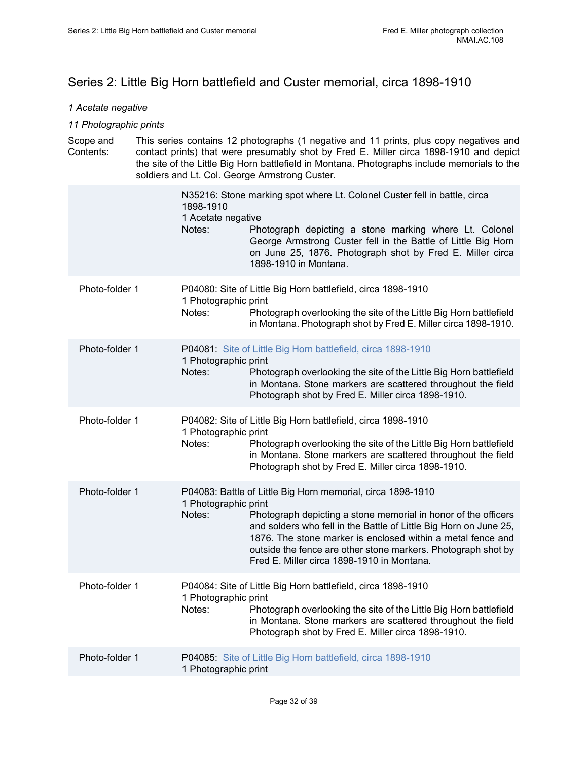## <span id="page-33-0"></span>Series 2: Little Big Horn battlefield and Custer memorial, circa 1898-1910

### *1 Acetate negative*

### *11 Photographic prints*

| Scope and | This series contains 12 photographs (1 negative and 11 prints, plus copy negatives and                                                                                                 |
|-----------|----------------------------------------------------------------------------------------------------------------------------------------------------------------------------------------|
| Contents: | contact prints) that were presumably shot by Fred E. Miller circa 1898-1910 and depict<br>the site of the Little Big Horn battlefield in Montana. Photographs include memorials to the |
|           | soldiers and Lt. Col. George Armstrong Custer.                                                                                                                                         |

|                | N35216: Stone marking spot where Lt. Colonel Custer fell in battle, circa<br>1898-1910<br>1 Acetate negative<br>Notes:<br>Photograph depicting a stone marking where Lt. Colonel<br>George Armstrong Custer fell in the Battle of Little Big Horn<br>on June 25, 1876. Photograph shot by Fred E. Miller circa<br>1898-1910 in Montana.                                                                            |
|----------------|--------------------------------------------------------------------------------------------------------------------------------------------------------------------------------------------------------------------------------------------------------------------------------------------------------------------------------------------------------------------------------------------------------------------|
| Photo-folder 1 | P04080: Site of Little Big Horn battlefield, circa 1898-1910<br>1 Photographic print<br>Notes:<br>Photograph overlooking the site of the Little Big Horn battlefield<br>in Montana. Photograph shot by Fred E. Miller circa 1898-1910.                                                                                                                                                                             |
| Photo-folder 1 | P04081: Site of Little Big Horn battlefield, circa 1898-1910<br>1 Photographic print<br>Notes:<br>Photograph overlooking the site of the Little Big Horn battlefield<br>in Montana. Stone markers are scattered throughout the field<br>Photograph shot by Fred E. Miller circa 1898-1910.                                                                                                                         |
| Photo-folder 1 | P04082: Site of Little Big Horn battlefield, circa 1898-1910<br>1 Photographic print<br>Notes:<br>Photograph overlooking the site of the Little Big Horn battlefield<br>in Montana. Stone markers are scattered throughout the field<br>Photograph shot by Fred E. Miller circa 1898-1910.                                                                                                                         |
| Photo-folder 1 | P04083: Battle of Little Big Horn memorial, circa 1898-1910<br>1 Photographic print<br>Notes:<br>Photograph depicting a stone memorial in honor of the officers<br>and solders who fell in the Battle of Little Big Horn on June 25,<br>1876. The stone marker is enclosed within a metal fence and<br>outside the fence are other stone markers. Photograph shot by<br>Fred E. Miller circa 1898-1910 in Montana. |
| Photo-folder 1 | P04084: Site of Little Big Horn battlefield, circa 1898-1910<br>1 Photographic print<br>Notes:<br>Photograph overlooking the site of the Little Big Horn battlefield<br>in Montana. Stone markers are scattered throughout the field<br>Photograph shot by Fred E. Miller circa 1898-1910.                                                                                                                         |
| Photo-folder 1 | P04085: Site of Little Big Horn battlefield, circa 1898-1910<br>1 Photographic print                                                                                                                                                                                                                                                                                                                               |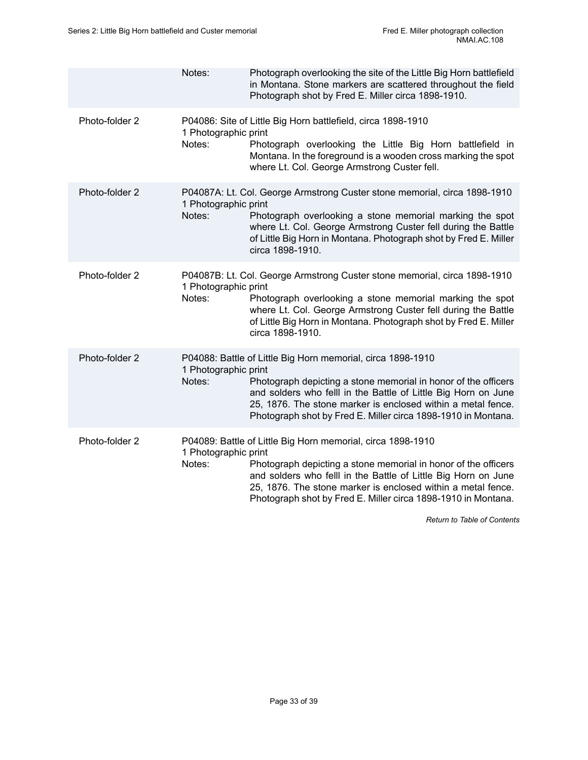|                | Notes:                         | Photograph overlooking the site of the Little Big Horn battlefield<br>in Montana. Stone markers are scattered throughout the field<br>Photograph shot by Fred E. Miller circa 1898-1910.                                                                                                                                         |
|----------------|--------------------------------|----------------------------------------------------------------------------------------------------------------------------------------------------------------------------------------------------------------------------------------------------------------------------------------------------------------------------------|
| Photo-folder 2 | 1 Photographic print<br>Notes: | P04086: Site of Little Big Horn battlefield, circa 1898-1910<br>Photograph overlooking the Little Big Horn battlefield in<br>Montana. In the foreground is a wooden cross marking the spot<br>where Lt. Col. George Armstrong Custer fell.                                                                                       |
| Photo-folder 2 | 1 Photographic print<br>Notes: | P04087A: Lt. Col. George Armstrong Custer stone memorial, circa 1898-1910<br>Photograph overlooking a stone memorial marking the spot<br>where Lt. Col. George Armstrong Custer fell during the Battle<br>of Little Big Horn in Montana. Photograph shot by Fred E. Miller<br>circa 1898-1910.                                   |
| Photo-folder 2 | 1 Photographic print<br>Notes: | P04087B: Lt. Col. George Armstrong Custer stone memorial, circa 1898-1910<br>Photograph overlooking a stone memorial marking the spot<br>where Lt. Col. George Armstrong Custer fell during the Battle<br>of Little Big Horn in Montana. Photograph shot by Fred E. Miller<br>circa 1898-1910.                                   |
| Photo-folder 2 | 1 Photographic print<br>Notes: | P04088: Battle of Little Big Horn memorial, circa 1898-1910<br>Photograph depicting a stone memorial in honor of the officers<br>and solders who felll in the Battle of Little Big Horn on June<br>25, 1876. The stone marker is enclosed within a metal fence.<br>Photograph shot by Fred E. Miller circa 1898-1910 in Montana. |
| Photo-folder 2 | 1 Photographic print<br>Notes: | P04089: Battle of Little Big Horn memorial, circa 1898-1910<br>Photograph depicting a stone memorial in honor of the officers<br>and solders who felll in the Battle of Little Big Horn on June<br>25, 1876. The stone marker is enclosed within a metal fence.<br>Photograph shot by Fred E. Miller circa 1898-1910 in Montana. |

*Return to Table of [Contents](#page-1-0)*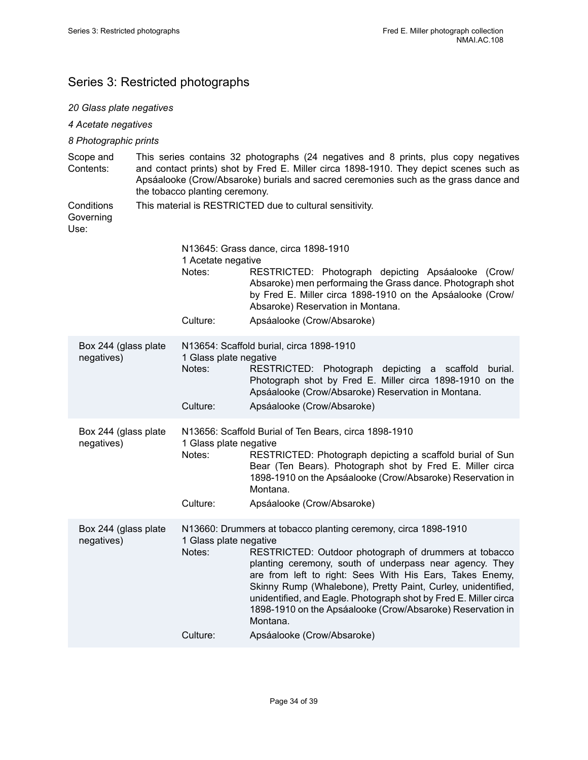## <span id="page-35-0"></span>Series 3: Restricted photographs

## *20 Glass plate negatives*

| 4 Acetate negatives                                                                                                                                                                                                                                                                                     |                                                                                                                                                                                                                                                                                                                                                                                                                                                                                                   |  |  |
|---------------------------------------------------------------------------------------------------------------------------------------------------------------------------------------------------------------------------------------------------------------------------------------------------------|---------------------------------------------------------------------------------------------------------------------------------------------------------------------------------------------------------------------------------------------------------------------------------------------------------------------------------------------------------------------------------------------------------------------------------------------------------------------------------------------------|--|--|
| 8 Photographic prints                                                                                                                                                                                                                                                                                   |                                                                                                                                                                                                                                                                                                                                                                                                                                                                                                   |  |  |
| This series contains 32 photographs (24 negatives and 8 prints, plus copy negatives<br>and contact prints) shot by Fred E. Miller circa 1898-1910. They depict scenes such as<br>Apsáalooke (Crow/Absaroke) burials and sacred ceremonies such as the grass dance and<br>the tobacco planting ceremony. |                                                                                                                                                                                                                                                                                                                                                                                                                                                                                                   |  |  |
|                                                                                                                                                                                                                                                                                                         | This material is RESTRICTED due to cultural sensitivity.                                                                                                                                                                                                                                                                                                                                                                                                                                          |  |  |
|                                                                                                                                                                                                                                                                                                         | N13645: Grass dance, circa 1898-1910                                                                                                                                                                                                                                                                                                                                                                                                                                                              |  |  |
| Notes:                                                                                                                                                                                                                                                                                                  | RESTRICTED: Photograph depicting Apsáalooke (Crow/<br>Absaroke) men performaing the Grass dance. Photograph shot<br>by Fred E. Miller circa 1898-1910 on the Apsáalooke (Crow/<br>Absaroke) Reservation in Montana.                                                                                                                                                                                                                                                                               |  |  |
| Culture:                                                                                                                                                                                                                                                                                                | Apsáalooke (Crow/Absaroke)                                                                                                                                                                                                                                                                                                                                                                                                                                                                        |  |  |
| Box 244 (glass plate<br>1 Glass plate negative<br>Notes:<br>Culture:                                                                                                                                                                                                                                    | N13654: Scaffold burial, circa 1898-1910<br>RESTRICTED: Photograph depicting a scaffold<br>burial.<br>Photograph shot by Fred E. Miller circa 1898-1910 on the<br>Apsáalooke (Crow/Absaroke) Reservation in Montana.<br>Apsáalooke (Crow/Absaroke)                                                                                                                                                                                                                                                |  |  |
| Box 244 (glass plate<br>1 Glass plate negative<br>Notes:<br>Culture:                                                                                                                                                                                                                                    | N13656: Scaffold Burial of Ten Bears, circa 1898-1910<br>RESTRICTED: Photograph depicting a scaffold burial of Sun<br>Bear (Ten Bears). Photograph shot by Fred E. Miller circa<br>1898-1910 on the Apsáalooke (Crow/Absaroke) Reservation in<br>Montana.<br>Apsáalooke (Crow/Absaroke)                                                                                                                                                                                                           |  |  |
| Box 244 (glass plate<br>1 Glass plate negative                                                                                                                                                                                                                                                          | N13660: Drummers at tobacco planting ceremony, circa 1898-1910<br>Notes: RESTRICTED: Outdoor photograph of drummers at tobacco<br>planting ceremony, south of underpass near agency. They<br>are from left to right: Sees With His Ears, Takes Enemy,<br>Skinny Rump (Whalebone), Pretty Paint, Curley, unidentified,<br>unidentified, and Eagle. Photograph shot by Fred E. Miller circa<br>1898-1910 on the Apsáalooke (Crow/Absaroke) Reservation in<br>Montana.<br>Apsáalooke (Crow/Absaroke) |  |  |
|                                                                                                                                                                                                                                                                                                         | 1 Acetate negative<br>Culture:                                                                                                                                                                                                                                                                                                                                                                                                                                                                    |  |  |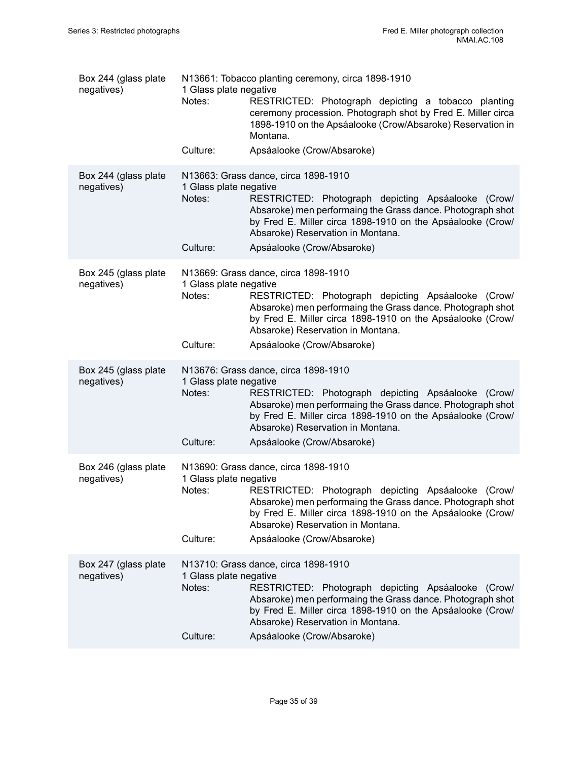| Box 244 (glass plate<br>negatives) | 1 Glass plate negative<br>Notes:<br>Culture: | N13661: Tobacco planting ceremony, circa 1898-1910<br>RESTRICTED: Photograph depicting a tobacco planting<br>ceremony procession. Photograph shot by Fred E. Miller circa<br>1898-1910 on the Apsáalooke (Crow/Absaroke) Reservation in<br>Montana.<br>Apsáalooke (Crow/Absaroke)         |
|------------------------------------|----------------------------------------------|-------------------------------------------------------------------------------------------------------------------------------------------------------------------------------------------------------------------------------------------------------------------------------------------|
|                                    |                                              |                                                                                                                                                                                                                                                                                           |
| Box 244 (glass plate<br>negatives) | 1 Glass plate negative<br>Notes:             | N13663: Grass dance, circa 1898-1910<br>RESTRICTED: Photograph depicting Apsáalooke (Crow/<br>Absaroke) men performaing the Grass dance. Photograph shot<br>by Fred E. Miller circa 1898-1910 on the Apsáalooke (Crow/<br>Absaroke) Reservation in Montana.                               |
|                                    | Culture:                                     | Apsáalooke (Crow/Absaroke)                                                                                                                                                                                                                                                                |
| Box 245 (glass plate<br>negatives) | 1 Glass plate negative<br>Notes:<br>Culture: | N13669: Grass dance, circa 1898-1910<br>RESTRICTED: Photograph depicting Apsáalooke (Crow/<br>Absaroke) men performaing the Grass dance. Photograph shot<br>by Fred E. Miller circa 1898-1910 on the Apsáalooke (Crow/<br>Absaroke) Reservation in Montana.<br>Apsáalooke (Crow/Absaroke) |
| Box 245 (glass plate<br>negatives) | 1 Glass plate negative<br>Notes:<br>Culture: | N13676: Grass dance, circa 1898-1910<br>RESTRICTED: Photograph depicting Apsáalooke (Crow/<br>Absaroke) men performaing the Grass dance. Photograph shot<br>by Fred E. Miller circa 1898-1910 on the Apsáalooke (Crow/<br>Absaroke) Reservation in Montana.<br>Apsáalooke (Crow/Absaroke) |
|                                    |                                              |                                                                                                                                                                                                                                                                                           |
| Box 246 (glass plate<br>negatives) | 1 Glass plate negative<br>Notes:             | N13690: Grass dance, circa 1898-1910<br>RESTRICTED: Photograph depicting Apsáalooke (Crow/<br>Absaroke) men performaing the Grass dance. Photograph shot<br>by Fred E. Miller circa 1898-1910 on the Apsáalooke (Crow/<br>Absaroke) Reservation in Montana.                               |
|                                    | Culture:                                     | Apsáalooke (Crow/Absaroke)                                                                                                                                                                                                                                                                |
| Box 247 (glass plate<br>negatives) | 1 Glass plate negative<br>Notes:<br>Culture: | N13710: Grass dance, circa 1898-1910<br>RESTRICTED: Photograph depicting Apsáalooke (Crow/<br>Absaroke) men performaing the Grass dance. Photograph shot<br>by Fred E. Miller circa 1898-1910 on the Apsáalooke (Crow/<br>Absaroke) Reservation in Montana.<br>Apsáalooke (Crow/Absaroke) |
|                                    |                                              |                                                                                                                                                                                                                                                                                           |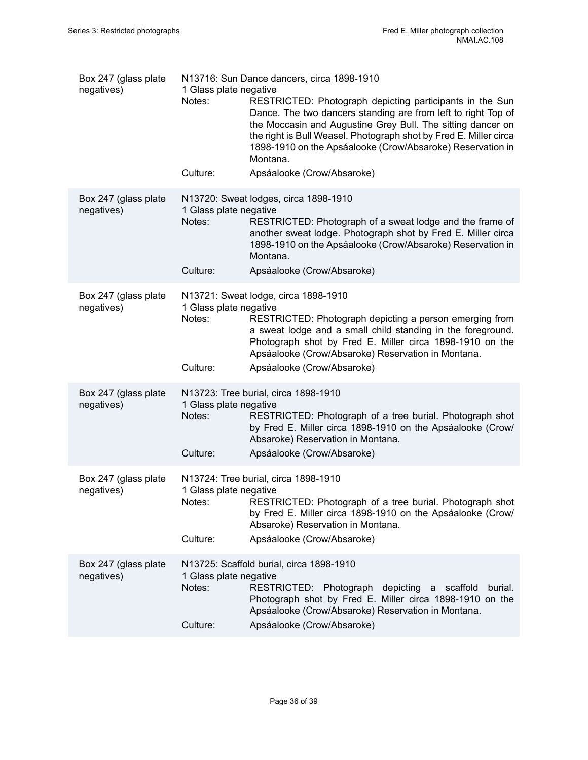| Box 247 (glass plate<br>negatives) | 1 Glass plate negative<br>Notes:<br>Culture:        | N13716: Sun Dance dancers, circa 1898-1910<br>RESTRICTED: Photograph depicting participants in the Sun<br>Dance. The two dancers standing are from left to right Top of<br>the Moccasin and Augustine Grey Bull. The sitting dancer on<br>the right is Bull Weasel. Photograph shot by Fred E. Miller circa<br>1898-1910 on the Apsáalooke (Crow/Absaroke) Reservation in<br>Montana.<br>Apsáalooke (Crow/Absaroke) |
|------------------------------------|-----------------------------------------------------|---------------------------------------------------------------------------------------------------------------------------------------------------------------------------------------------------------------------------------------------------------------------------------------------------------------------------------------------------------------------------------------------------------------------|
| Box 247 (glass plate<br>negatives) | 1 Glass plate negative<br>Notes:<br>Culture:        | N13720: Sweat lodges, circa 1898-1910<br>RESTRICTED: Photograph of a sweat lodge and the frame of<br>another sweat lodge. Photograph shot by Fred E. Miller circa<br>1898-1910 on the Apsáalooke (Crow/Absaroke) Reservation in<br>Montana.<br>Apsáalooke (Crow/Absaroke)                                                                                                                                           |
| Box 247 (glass plate<br>negatives) | 1 Glass plate negative<br>Notes:<br>Culture:        | N13721: Sweat lodge, circa 1898-1910<br>RESTRICTED: Photograph depicting a person emerging from<br>a sweat lodge and a small child standing in the foreground.<br>Photograph shot by Fred E. Miller circa 1898-1910 on the<br>Apsáalooke (Crow/Absaroke) Reservation in Montana.<br>Apsáalooke (Crow/Absaroke)                                                                                                      |
| Box 247 (glass plate<br>negatives) | 1 Glass plate negative<br>Notes:<br>Culture:        | N13723: Tree burial, circa 1898-1910<br>RESTRICTED: Photograph of a tree burial. Photograph shot<br>by Fred E. Miller circa 1898-1910 on the Apsáalooke (Crow/<br>Absaroke) Reservation in Montana.<br>Apsáalooke (Crow/Absaroke)                                                                                                                                                                                   |
| Box 247 (glass plate<br>negatives) | 1 Glass plate negative<br>Notes: Notes:<br>Culture: | N13724: Tree burial, circa 1898-1910<br>RESTRICTED: Photograph of a tree burial. Photograph shot<br>by Fred E. Miller circa 1898-1910 on the Apsáalooke (Crow/<br>Absaroke) Reservation in Montana.<br>Apsáalooke (Crow/Absaroke)                                                                                                                                                                                   |
| Box 247 (glass plate<br>negatives) | 1 Glass plate negative<br>Notes:<br>Culture:        | N13725: Scaffold burial, circa 1898-1910<br>RESTRICTED: Photograph depicting a scaffold<br>burial.<br>Photograph shot by Fred E. Miller circa 1898-1910 on the<br>Apsáalooke (Crow/Absaroke) Reservation in Montana.<br>Apsáalooke (Crow/Absaroke)                                                                                                                                                                  |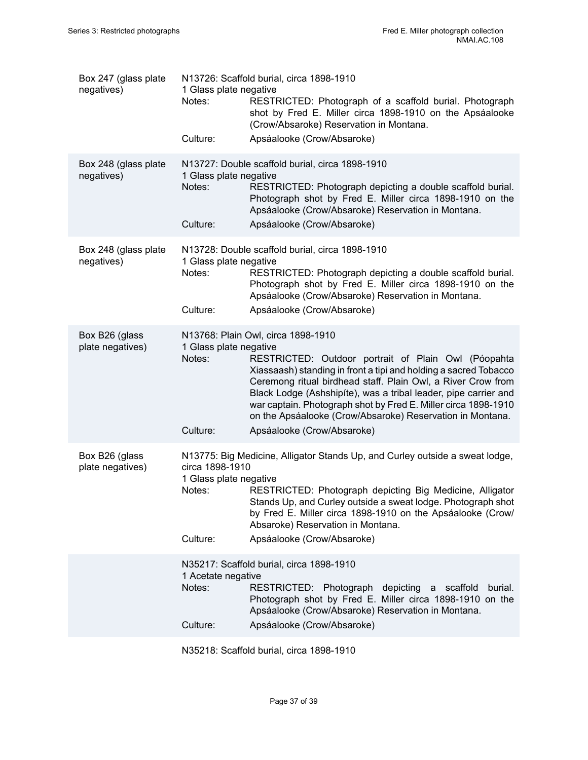| Box 247 (glass plate<br>negatives) | 1 Glass plate negative<br>Notes:                    | N13726: Scaffold burial, circa 1898-1910<br>RESTRICTED: Photograph of a scaffold burial. Photograph<br>shot by Fred E. Miller circa 1898-1910 on the Apsáalooke<br>(Crow/Absaroke) Reservation in Montana.                                                                                                                                                                                                                      |
|------------------------------------|-----------------------------------------------------|---------------------------------------------------------------------------------------------------------------------------------------------------------------------------------------------------------------------------------------------------------------------------------------------------------------------------------------------------------------------------------------------------------------------------------|
|                                    | Culture:                                            | Apsáalooke (Crow/Absaroke)                                                                                                                                                                                                                                                                                                                                                                                                      |
| Box 248 (glass plate<br>negatives) | 1 Glass plate negative<br>Notes:                    | N13727: Double scaffold burial, circa 1898-1910<br>RESTRICTED: Photograph depicting a double scaffold burial.<br>Photograph shot by Fred E. Miller circa 1898-1910 on the<br>Apsáalooke (Crow/Absaroke) Reservation in Montana.                                                                                                                                                                                                 |
|                                    | Culture:                                            | Apsáalooke (Crow/Absaroke)                                                                                                                                                                                                                                                                                                                                                                                                      |
| Box 248 (glass plate<br>negatives) | 1 Glass plate negative<br>Notes:<br>Culture:        | N13728: Double scaffold burial, circa 1898-1910<br>RESTRICTED: Photograph depicting a double scaffold burial.<br>Photograph shot by Fred E. Miller circa 1898-1910 on the<br>Apsáalooke (Crow/Absaroke) Reservation in Montana.<br>Apsáalooke (Crow/Absaroke)                                                                                                                                                                   |
|                                    |                                                     |                                                                                                                                                                                                                                                                                                                                                                                                                                 |
| Box B26 (glass<br>plate negatives) | 1 Glass plate negative<br>Notes:                    | N13768: Plain Owl, circa 1898-1910<br>RESTRICTED: Outdoor portrait of Plain Owl (Póopahta<br>Xiassaash) standing in front a tipi and holding a sacred Tobacco<br>Ceremong ritual birdhead staff. Plain Owl, a River Crow from<br>Black Lodge (Ashshipíte), was a tribal leader, pipe carrier and<br>war captain. Photograph shot by Fred E. Miller circa 1898-1910<br>on the Apsáalooke (Crow/Absaroke) Reservation in Montana. |
|                                    | Culture:                                            | Apsáalooke (Crow/Absaroke)                                                                                                                                                                                                                                                                                                                                                                                                      |
| Box B26 (glass<br>plate negatives) | circa 1898-1910<br>1 Glass plate negative<br>Notes: | N13775: Big Medicine, Alligator Stands Up, and Curley outside a sweat lodge,<br>RESTRICTED: Photograph depicting Big Medicine, Alligator<br>Stands Up, and Curley outside a sweat lodge. Photograph shot<br>by Fred E. Miller circa 1898-1910 on the Apsáalooke (Crow/<br>Absaroke) Reservation in Montana.                                                                                                                     |
|                                    | Culture:                                            | Apsáalooke (Crow/Absaroke)                                                                                                                                                                                                                                                                                                                                                                                                      |
|                                    | 1 Acetate negative<br>Notes:                        | N35217: Scaffold burial, circa 1898-1910<br>RESTRICTED: Photograph depicting a scaffold<br>burial.<br>Photograph shot by Fred E. Miller circa 1898-1910 on the<br>Apsáalooke (Crow/Absaroke) Reservation in Montana.                                                                                                                                                                                                            |
|                                    | Culture:                                            | Apsáalooke (Crow/Absaroke)                                                                                                                                                                                                                                                                                                                                                                                                      |

N35218: Scaffold burial, circa 1898-1910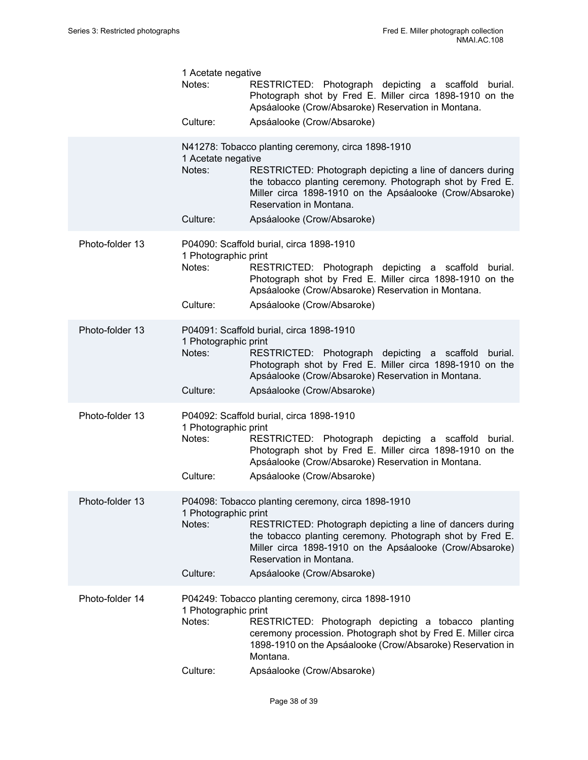|                 | 1 Acetate negative<br>Notes:<br>Culture:   | RESTRICTED: Photograph depicting a scaffold<br>burial.<br>Photograph shot by Fred E. Miller circa 1898-1910 on the<br>Apsáalooke (Crow/Absaroke) Reservation in Montana.<br>Apsáalooke (Crow/Absaroke)                                                                                            |
|-----------------|--------------------------------------------|---------------------------------------------------------------------------------------------------------------------------------------------------------------------------------------------------------------------------------------------------------------------------------------------------|
|                 | 1 Acetate negative<br>Notes:<br>Culture:   | N41278: Tobacco planting ceremony, circa 1898-1910<br>RESTRICTED: Photograph depicting a line of dancers during<br>the tobacco planting ceremony. Photograph shot by Fred E.<br>Miller circa 1898-1910 on the Apsáalooke (Crow/Absaroke)<br>Reservation in Montana.<br>Apsáalooke (Crow/Absaroke) |
| Photo-folder 13 | 1 Photographic print<br>Notes:<br>Culture: | P04090: Scaffold burial, circa 1898-1910<br>RESTRICTED: Photograph depicting a scaffold<br>burial.<br>Photograph shot by Fred E. Miller circa 1898-1910 on the<br>Apsáalooke (Crow/Absaroke) Reservation in Montana.<br>Apsáalooke (Crow/Absaroke)                                                |
| Photo-folder 13 | 1 Photographic print<br>Notes:<br>Culture: | P04091: Scaffold burial, circa 1898-1910<br>RESTRICTED: Photograph depicting a scaffold<br>burial.<br>Photograph shot by Fred E. Miller circa 1898-1910 on the<br>Apsáalooke (Crow/Absaroke) Reservation in Montana.<br>Apsáalooke (Crow/Absaroke)                                                |
| Photo-folder 13 | 1 Photographic print<br>Notes:<br>Culture: | P04092: Scaffold burial, circa 1898-1910<br>RESTRICTED: Photograph depicting a scaffold<br>burial.<br>Photograph shot by Fred E. Miller circa 1898-1910 on the<br>Apsáalooke (Crow/Absaroke) Reservation in Montana.<br>Apsáalooke (Crow/Absaroke)                                                |
| Photo-folder 13 | 1 Photographic print<br>Notes:<br>Culture: | P04098: Tobacco planting ceremony, circa 1898-1910<br>RESTRICTED: Photograph depicting a line of dancers during<br>the tobacco planting ceremony. Photograph shot by Fred E.<br>Miller circa 1898-1910 on the Apsáalooke (Crow/Absaroke)<br>Reservation in Montana.<br>Apsáalooke (Crow/Absaroke) |
| Photo-folder 14 | 1 Photographic print<br>Notes:<br>Culture: | P04249: Tobacco planting ceremony, circa 1898-1910<br>RESTRICTED: Photograph depicting a tobacco planting<br>ceremony procession. Photograph shot by Fred E. Miller circa<br>1898-1910 on the Apsáalooke (Crow/Absaroke) Reservation in<br>Montana.<br>Apsáalooke (Crow/Absaroke)                 |